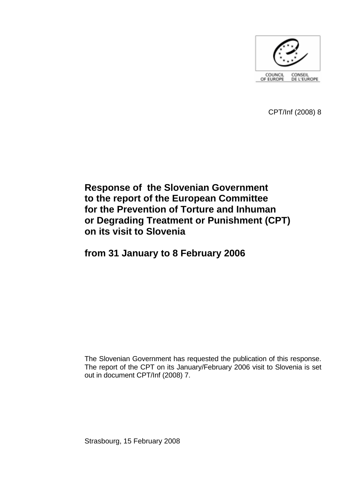

CPT/Inf (2008) 8

# **Response of the Slovenian Government to the report of the European Committee for the Prevention of Torture and Inhuman or Degrading Treatment or Punishment (CPT) on its visit to Slovenia**

# **from 31 January to 8 February 2006**

The Slovenian Government has requested the publication of this response. The report of the CPT on its January/February 2006 visit to Slovenia is set out in document CPT/Inf (2008) 7.

Strasbourg, 15 February 2008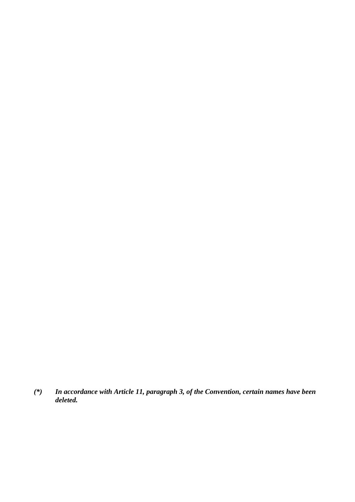*(\*) In accordance with Article 11, paragraph 3, of the Convention, certain names have been deleted.*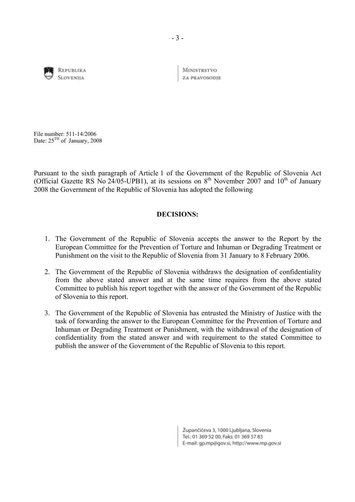

REPUBLIKA **SLOVENIIA** 

**MINISTRSTVO** ZA PRAVOSODIE

File number: 511-14/2006 Date:  $25<sup>TH</sup>$  of January, 2008

Pursuant to the sixth paragraph of Article 1 of the Government of the Republic of Slovenia Act (Official Gazette RS No 24/05-UPB1), at its sessions on  $8<sup>th</sup>$  November 2007 and 10<sup>th</sup> of January 2008 the Government of the Republic of Slovenia has adopted the following

## **DECISIONS:**

- 1. The Government of the Republic of Slovenia accepts the answer to the Report by the European Committee for the Prevention of Torture and Inhuman or Degrading Treatment or Punishment on the visit to the Republic of Slovenia from 31 January to 8 February 2006.
- 2. The Government of the Republic of Slovenia withdraws the designation of confidentiality from the above stated answer and at the same time requires from the above stated Committee to publish his report together with the answer of the Government of the Republic of Slovenia to this report.
- 3. The Government of the Republic of Slovenia has entrusted the Ministry of Justice with the task of forwarding the answer to the European Committee for the Prevention of Torture and Inhuman or Degrading Treatment or Punishment, with the withdrawal of the designation of confidentiality from the stated answer and with requirement to the stated Committee to publish the answer of the Government of the Republic of Slovenia to this report.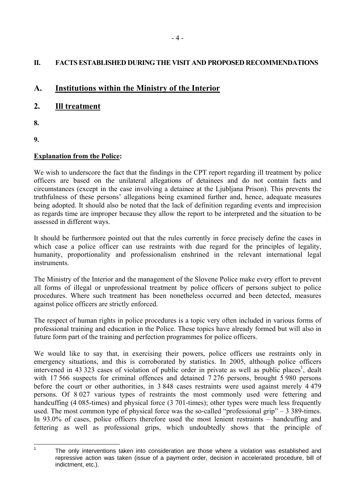# **II. FACTS ESTABLISHED DURING THE VISIT AND PROPOSED RECOMMENDATIONS**

# **A. Institutions within the Ministry of the Interior**

# **2. Ill treatment**

- **8.**
- **9.**

# **Explanation from the Police:**

We wish to underscore the fact that the findings in the CPT report regarding ill treatment by police officers are based on the unilateral allegations of detainees and do not contain facts and circumstances (except in the case involving a detainee at the Ljubljana Prison). This prevents the truthfulness of these persons' allegations being examined further and, hence, adequate measures being adopted. It should also be noted that the lack of definition regarding events and imprecision as regards time are improper because they allow the report to be interpreted and the situation to be assessed in different ways.

It should be furthermore pointed out that the rules currently in force precisely define the cases in which case a police officer can use restraints with due regard for the principles of legality, humanity, proportionality and professionalism enshrined in the relevant international legal instruments.

The Ministry of the Interior and the management of the Slovene Police make every effort to prevent all forms of illegal or unprofessional treatment by police officers of persons subject to police procedures. Where such treatment has been nonetheless occurred and been detected, measures against police officers are strictly enforced.

The respect of human rights in police procedures is a topic very often included in various forms of professional training and education in the Police. These topics have already formed but will also in future form part of the training and perfection programmes for police officers.

We would like to say that, in exercising their powers, police officers use restraints only in emergency situations, and this is corroborated by statistics. In 2005, although police officers intervened in 43 323 cases of violation of public order in private as well as public places<sup>1</sup>, dealt with 17 566 suspects for criminal offences and detained 7 276 persons, brought 5 980 persons before the court or other authorities, in 3 848 cases restraints were used against merely 4 479 persons. Of 8 027 various types of restraints the most commonly used were fettering and handcuffing (4 085-times) and physical force (3 701-times); other types were much less frequently used. The most common type of physical force was the so-called "professional grip"  $-$  3 389-times. In 93.0% of cases, police officers therefore used the most lenient restraints  $-$  handcuffing and fettering as well as professional grips, which undoubtedly shows that the principle of

 $\frac{1}{1}$ 

<span id="page-3-0"></span>The only interventions taken into consideration are those where a violation was established and repressive action was taken (issue of a payment order, decision in accelerated procedure, bill of indictment, etc.).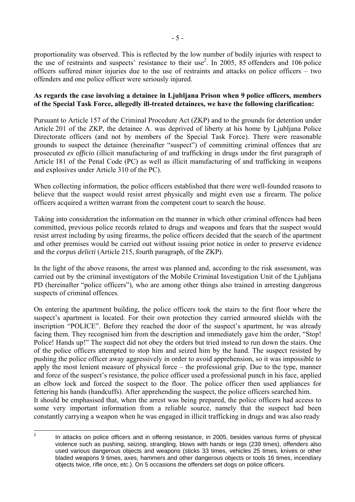proportionality was observed. This is reflected by the low number of bodily injuries with respect to the use of restraints and suspects' resistance to their use<sup>2</sup>. In 2005, 85 offenders and 106 police officers suffered minor injuries due to the use of restraints and attacks on police officers  $-$  two offenders and one police officer were seriously injured.

## **As regards the case involving a detainee in Ljubljana Prison when 9 police officers, members of the Special Task Force, allegedly ill-treated detainees, we have the following clarification:**

Pursuant to Article 157 of the Criminal Procedure Act (ZKP) and to the grounds for detention under Article 201 of the ZKP, the detainee A. was deprived of liberty at his home by Ljubljana Police Directorate officers (and not by members of the Special Task Force). There were reasonable grounds to suspect the detainee (hereinafter "suspect") of committing criminal offences that are prosecuted *ex officio* (illicit manufacturing of and trafficking in drugs under the first paragraph of Article 181 of the Penal Code (PC) as well as illicit manufacturing of and trafficking in weapons and explosives under Article 310 of the PC).

When collecting information, the police officers established that there were well-founded reasons to believe that the suspect would resist arrest physically and might even use a firearm. The police officers acquired a written warrant from the competent court to search the house.

Taking into consideration the information on the manner in which other criminal offences had been committed, previous police records related to drugs and weapons and fears that the suspect would resist arrest including by using firearms, the police officers decided that the search of the apartment and other premises would be carried out without issuing prior notice in order to preserve evidence and the *corpus delicti* (Article 215, fourth paragraph, of the ZKP).

In the light of the above reasons, the arrest was planned and, according to the risk assessment, was carried out by the criminal investigators of the Mobile Criminal Investigation Unit of the Ljubljana PD (hereinafter "police officers"), who are among other things also trained in arresting dangerous suspects of criminal offences.

On entering the apartment building, the police officers took the stairs to the first floor where the suspect's apartment is located. For their own protection they carried armoured shields with the inscription "POLICE". Before they reached the door of the suspect's apartment, he was already facing them. They recognised him from the description and immediately gave him the order, "Stop! Police! Hands up!" The suspect did not obey the orders but tried instead to run down the stairs. One of the police officers attempted to stop him and seized him by the hand. The suspect resisted by pushing the police officer away aggressively in order to avoid apprehension, so it was impossible to apply the most lenient measure of physical force  $-$  the professional grip. Due to the type, manner and force of the suspect's resistance, the police officer used a professional punch in his face, applied an elbow lock and forced the suspect to the floor. The police officer then used appliances for fettering his hands (handcuffs). After apprehending the suspect, the police officers searched him. It should be emphasised that, when the arrest was being prepared, the police officers had access to some very important information from a reliable source, namely that the suspect had been

constantly carrying a weapon when he was engaged in illicit trafficking in drugs and was also ready

 $\frac{1}{2}$ 

<span id="page-4-0"></span>In attacks on police officers and in offering resistance, in 2005, besides various forms of physical violence such as pushing, seizing, strangling, blows with hands or legs (239 times), offenders also used various dangerous objects and weapons (sticks 33 times, vehicles 25 times, knives or other bladed weapons 9 times, axes, hammers and other dangerous objects or tools 16 times, incendiary objects twice, rifle once, etc.). On 5 occasions the offenders set dogs on police officers.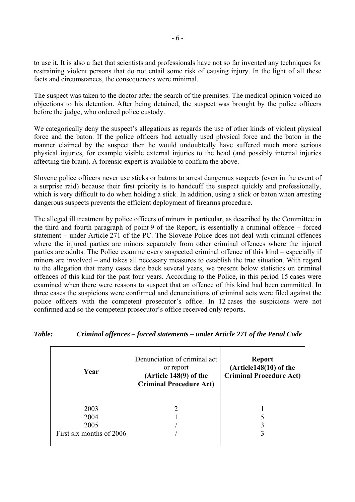to use it. It is also a fact that scientists and professionals have not so far invented any techniques for restraining violent persons that do not entail some risk of causing injury. In the light of all these facts and circumstances, the consequences were minimal.

The suspect was taken to the doctor after the search of the premises. The medical opinion voiced no objections to his detention. After being detained, the suspect was brought by the police officers before the judge, who ordered police custody.

We categorically deny the suspect's allegations as regards the use of other kinds of violent physical force and the baton. If the police officers had actually used physical force and the baton in the manner claimed by the suspect then he would undoubtedly have suffered much more serious physical injuries, for example visible external injuries to the head (and possibly internal injuries affecting the brain). A forensic expert is available to confirm the above.

Slovene police officers never use sticks or batons to arrest dangerous suspects (even in the event of a surprise raid) because their first priority is to handcuff the suspect quickly and professionally, which is very difficult to do when holding a stick. In addition, using a stick or baton when arresting dangerous suspects prevents the efficient deployment of firearms procedure.

The alleged ill treatment by police officers of minors in particular, as described by the Committee in the third and fourth paragraph of point  $9$  of the Report, is essentially a criminal offence  $-$  forced statement – under Article 271 of the PC. The Slovene Police does not deal with criminal offences where the injured parties are minors separately from other criminal offences where the injured parties are adults. The Police examine every suspected criminal offence of this kind – especially if minors are involved – and takes all necessary measures to establish the true situation. With regard to the allegation that many cases date back several years, we present below statistics on criminal offences of this kind for the past four years. According to the Police, in this period 15 cases were examined when there were reasons to suspect that an offence of this kind had been committed. In three cases the suspicions were confirmed and denunciations of criminal acts were filed against the police officers with the competent prosecutor's office. In 12 cases the suspicions were not confirmed and so the competent prosecutor's office received only reports.

| Year                                             | Denunciation of criminal act<br>or report<br>(Article $148(9)$ of the<br><b>Criminal Procedure Act)</b> | <b>Report</b><br>(Article148(10) of the<br><b>Criminal Procedure Act)</b> |
|--------------------------------------------------|---------------------------------------------------------------------------------------------------------|---------------------------------------------------------------------------|
| 2003<br>2004<br>2005<br>First six months of 2006 |                                                                                                         |                                                                           |

## *Table: Criminal offences – forced statements – under Article 271 of the Penal Code*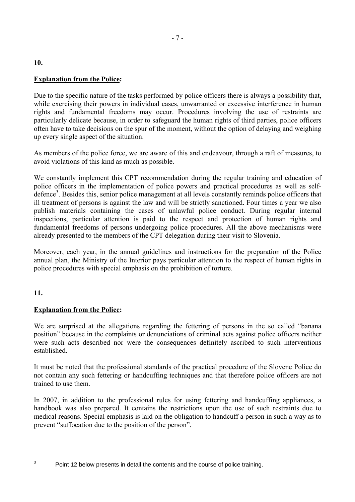# **Explanation from the Police:**

Due to the specific nature of the tasks performed by police officers there is always a possibility that, while exercising their powers in individual cases, unwarranted or excessive interference in human rights and fundamental freedoms may occur. Procedures involving the use of restraints are particularly delicate because, in order to safeguard the human rights of third parties, police officers often have to take decisions on the spur of the moment, without the option of delaying and weighing up every single aspect of the situation.

As members of the police force, we are aware of this and endeavour, through a raft of measures, to avoid violations of this kind as much as possible.

We constantly implement this CPT recommendation during the regular training and education of police officers in the implementation of police powers and practical procedures as well as self-defence<sup>[3](#page-6-0)</sup>. Besides this, senior police management at all levels constantly reminds police officers that ill treatment of persons is against the law and will be strictly sanctioned. Four times a year we also publish materials containing the cases of unlawful police conduct. During regular internal inspections, particular attention is paid to the respect and protection of human rights and fundamental freedoms of persons undergoing police procedures. All the above mechanisms were already presented to the members of the CPT delegation during their visit to Slovenia.

Moreover, each year, in the annual guidelines and instructions for the preparation of the Police annual plan, the Ministry of the Interior pays particular attention to the respect of human rights in police procedures with special emphasis on the prohibition of torture.

# **11.**

# **Explanation from the Police:**

We are surprised at the allegations regarding the fettering of persons in the so called "banana" positionî because in the complaints or denunciations of criminal acts against police officers neither were such acts described nor were the consequences definitely ascribed to such interventions established.

It must be noted that the professional standards of the practical procedure of the Slovene Police do not contain any such fettering or handcuffing techniques and that therefore police officers are not trained to use them.

In 2007, in addition to the professional rules for using fettering and handcuffing appliances, a handbook was also prepared. It contains the restrictions upon the use of such restraints due to medical reasons. Special emphasis is laid on the obligation to handcuff a person in such a way as to prevent "suffocation due to the position of the person".

<span id="page-6-0"></span><sup>-&</sup>lt;br>3

Point 12 below presents in detail the contents and the course of police training.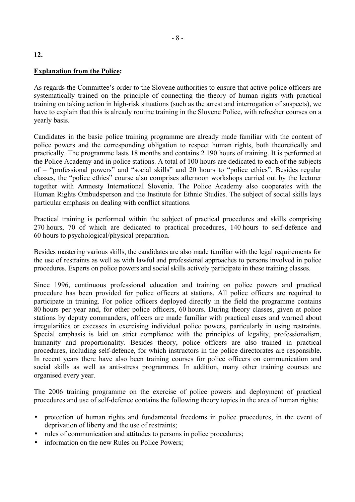#### **Explanation from the Police:**

As regards the Committee's order to the Slovene authorities to ensure that active police officers are systematically trained on the principle of connecting the theory of human rights with practical training on taking action in high-risk situations (such as the arrest and interrogation of suspects), we have to explain that this is already routine training in the Slovene Police, with refresher courses on a yearly basis.

Candidates in the basic police training programme are already made familiar with the content of police powers and the corresponding obligation to respect human rights, both theoretically and practically. The programme lasts 18 months and contains 2 190 hours of training. It is performed at the Police Academy and in police stations. A total of 100 hours are dedicated to each of the subjects of  $-$  "professional powers" and "social skills" and 20 hours to "police ethics". Besides regular classes, the "police ethics" course also comprises afternoon workshops carried out by the lecturer together with Amnesty International Slovenia. The Police Academy also cooperates with the Human Rights Ombudsperson and the Institute for Ethnic Studies. The subject of social skills lays particular emphasis on dealing with conflict situations.

Practical training is performed within the subject of practical procedures and skills comprising 270 hours, 70 of which are dedicated to practical procedures, 140 hours to self-defence and 60 hours to psychological/physical preparation.

Besides mastering various skills, the candidates are also made familiar with the legal requirements for the use of restraints as well as with lawful and professional approaches to persons involved in police procedures. Experts on police powers and social skills actively participate in these training classes.

Since 1996, continuous professional education and training on police powers and practical procedure has been provided for police officers at stations. All police officers are required to participate in training. For police officers deployed directly in the field the programme contains 80 hours per year and, for other police officers, 60 hours. During theory classes, given at police stations by deputy commanders, officers are made familiar with practical cases and warned about irregularities or excesses in exercising individual police powers, particularly in using restraints. Special emphasis is laid on strict compliance with the principles of legality, professionalism, humanity and proportionality. Besides theory, police officers are also trained in practical procedures, including self-defence, for which instructors in the police directorates are responsible. In recent years there have also been training courses for police officers on communication and social skills as well as anti-stress programmes. In addition, many other training courses are organised every year.

The 2006 training programme on the exercise of police powers and deployment of practical procedures and use of self-defence contains the following theory topics in the area of human rights:

- protection of human rights and fundamental freedoms in police procedures, in the event of deprivation of liberty and the use of restraints;
- rules of communication and attitudes to persons in police procedures;
- information on the new Rules on Police Powers;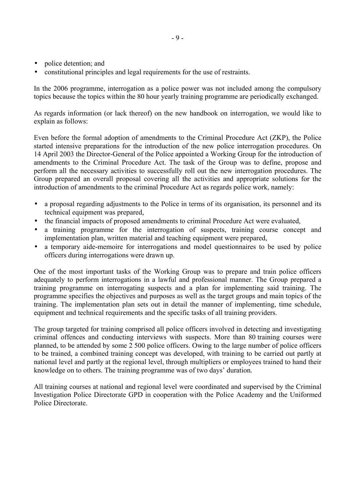- police detention; and
- constitutional principles and legal requirements for the use of restraints.

In the 2006 programme, interrogation as a police power was not included among the compulsory topics because the topics within the 80 hour yearly training programme are periodically exchanged.

As regards information (or lack thereof) on the new handbook on interrogation, we would like to explain as follows:

Even before the formal adoption of amendments to the Criminal Procedure Act (ZKP), the Police started intensive preparations for the introduction of the new police interrogation procedures. On 14 April 2003 the Director-General of the Police appointed a Working Group for the introduction of amendments to the Criminal Procedure Act. The task of the Group was to define, propose and perform all the necessary activities to successfully roll out the new interrogation procedures. The Group prepared an overall proposal covering all the activities and appropriate solutions for the introduction of amendments to the criminal Procedure Act as regards police work, namely:

- a proposal regarding adjustments to the Police in terms of its organisation, its personnel and its technical equipment was prepared,
- the financial impacts of proposed amendments to criminal Procedure Act were evaluated,
- a training programme for the interrogation of suspects, training course concept and implementation plan, written material and teaching equipment were prepared,
- a temporary aide-memoire for interrogations and model questionnaires to be used by police officers during interrogations were drawn up.

One of the most important tasks of the Working Group was to prepare and train police officers adequately to perform interrogations in a lawful and professional manner. The Group prepared a training programme on interrogating suspects and a plan for implementing said training. The programme specifies the objectives and purposes as well as the target groups and main topics of the training. The implementation plan sets out in detail the manner of implementing, time schedule, equipment and technical requirements and the specific tasks of all training providers.

The group targeted for training comprised all police officers involved in detecting and investigating criminal offences and conducting interviews with suspects. More than 80 training courses were planned, to be attended by some 2 500 police officers. Owing to the large number of police officers to be trained, a combined training concept was developed, with training to be carried out partly at national level and partly at the regional level, through multipliers or employees trained to hand their knowledge on to others. The training programme was of two days' duration.

All training courses at national and regional level were coordinated and supervised by the Criminal Investigation Police Directorate GPD in cooperation with the Police Academy and the Uniformed Police Directorate.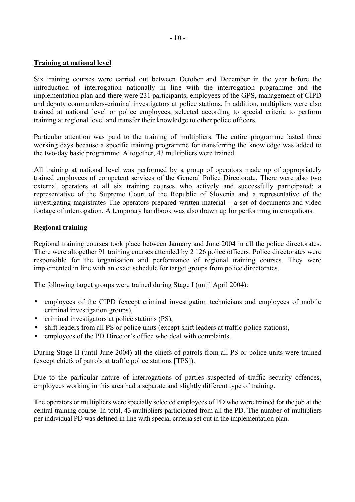#### **Training at national level**

Six training courses were carried out between October and December in the year before the introduction of interrogation nationally in line with the interrogation programme and the implementation plan and there were 231 participants, employees of the GPS, management of CIPD and deputy commanders-criminal investigators at police stations. In addition, multipliers were also trained at national level or police employees, selected according to special criteria to perform training at regional level and transfer their knowledge to other police officers.

Particular attention was paid to the training of multipliers. The entire programme lasted three working days because a specific training programme for transferring the knowledge was added to the two-day basic programme. Altogether, 43 multipliers were trained.

All training at national level was performed by a group of operators made up of appropriately trained employees of competent services of the General Police Directorate. There were also two external operators at all six training courses who actively and successfully participated: a representative of the Supreme Court of the Republic of Slovenia and a representative of the investigating magistrates The operators prepared written material  $-$  a set of documents and video footage of interrogation. A temporary handbook was also drawn up for performing interrogations.

#### **Regional training**

Regional training courses took place between January and June 2004 in all the police directorates. There were altogether 91 training courses attended by 2 126 police officers. Police directorates were responsible for the organisation and performance of regional training courses. They were implemented in line with an exact schedule for target groups from police directorates.

The following target groups were trained during Stage I (until April 2004):

- employees of the CIPD (except criminal investigation technicians and employees of mobile criminal investigation groups),
- criminal investigators at police stations (PS).
- shift leaders from all PS or police units (except shift leaders at traffic police stations),
- employees of the PD Director's office who deal with complaints.

During Stage II (until June 2004) all the chiefs of patrols from all PS or police units were trained (except chiefs of patrols at traffic police stations [TPS]).

Due to the particular nature of interrogations of parties suspected of traffic security offences, employees working in this area had a separate and slightly different type of training.

The operators or multipliers were specially selected employees of PD who were trained for the job at the central training course. In total, 43 multipliers participated from all the PD. The number of multipliers per individual PD was defined in line with special criteria set out in the implementation plan.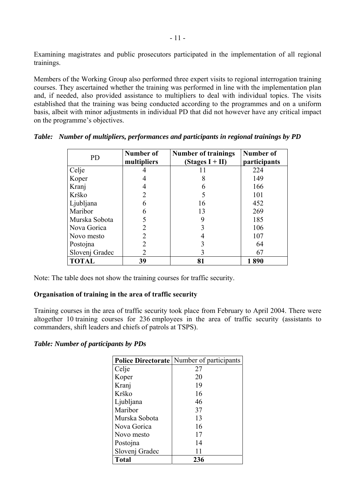Examining magistrates and public prosecutors participated in the implementation of all regional trainings.

Members of the Working Group also performed three expert visits to regional interrogation training courses. They ascertained whether the training was performed in line with the implementation plan and, if needed, also provided assistance to multipliers to deal with individual topics. The visits established that the training was being conducted according to the programmes and on a uniform basis, albeit with minor adjustments in individual PD that did not however have any critical impact on the programme's objectives.

| PD             | Number of<br>multipliers | <b>Number of trainings</b><br>$(Stages I + II)$ | Number of<br>participants |
|----------------|--------------------------|-------------------------------------------------|---------------------------|
| Celje          |                          |                                                 | 224                       |
| Koper          |                          | 8                                               | 149                       |
| Kranj          |                          | 6                                               | 166                       |
| Krško          |                          |                                                 | 101                       |
| Ljubljana      | 6                        | 16                                              | 452                       |
| Maribor        | 6                        | 13                                              | 269                       |
| Murska Sobota  |                          | 9                                               | 185                       |
| Nova Gorica    | $\mathfrak{D}$           | 3                                               | 106                       |
| Novo mesto     |                          |                                                 | 107                       |
| Postojna       |                          | 3                                               | 64                        |
| Slovenj Gradec |                          | 3                                               | 67                        |
| <b>TOTAL</b>   | 39                       | 81                                              | 1890                      |

*Table: Number of multipliers, performances and participants in regional trainings by PD* 

Note: The table does not show the training courses for traffic security.

## **Organisation of training in the area of traffic security**

Training courses in the area of traffic security took place from February to April 2004. There were altogether 10 training courses for 236 employees in the area of traffic security (assistants to commanders, shift leaders and chiefs of patrols at TSPS).

## *Table: Number of participants by PDs*

|                | <b>Police Directorate</b> Number of participants |
|----------------|--------------------------------------------------|
| Celje          | 27                                               |
| Koper          | 20                                               |
| Kranj          | 19                                               |
| Krško          | 16                                               |
| Ljubljana      | 46                                               |
| Maribor        | 37                                               |
| Murska Sobota  | 13                                               |
| Nova Gorica    | 16                                               |
| Novo mesto     | 17                                               |
| Postojna       | 14                                               |
| Slovenj Gradec | 11                                               |
| <b>Total</b>   | 236                                              |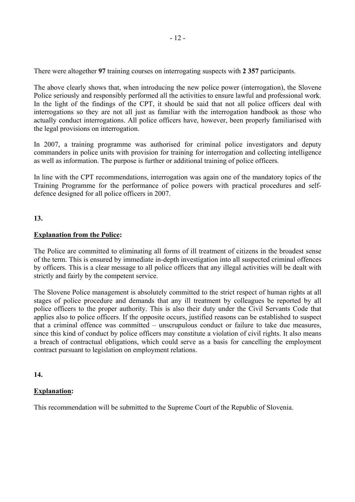There were altogether **97** training courses on interrogating suspects with **2 357** participants.

The above clearly shows that, when introducing the new police power (interrogation), the Slovene Police seriously and responsibly performed all the activities to ensure lawful and professional work. In the light of the findings of the CPT, it should be said that not all police officers deal with interrogations so they are not all just as familiar with the interrogation handbook as those who actually conduct interrogations. All police officers have, however, been properly familiarised with the legal provisions on interrogation.

In 2007, a training programme was authorised for criminal police investigators and deputy commanders in police units with provision for training for interrogation and collecting intelligence as well as information. The purpose is further or additional training of police officers.

In line with the CPT recommendations, interrogation was again one of the mandatory topics of the Training Programme for the performance of police powers with practical procedures and selfdefence designed for all police officers in 2007.

#### **13.**

#### **Explanation from the Police:**

The Police are committed to eliminating all forms of ill treatment of citizens in the broadest sense of the term. This is ensured by immediate in-depth investigation into all suspected criminal offences by officers. This is a clear message to all police officers that any illegal activities will be dealt with strictly and fairly by the competent service.

The Slovene Police management is absolutely committed to the strict respect of human rights at all stages of police procedure and demands that any ill treatment by colleagues be reported by all police officers to the proper authority. This is also their duty under the Civil Servants Code that applies also to police officers. If the opposite occurs, justified reasons can be established to suspect that a criminal offence was committed  $-$  unscrupulous conduct or failure to take due measures, since this kind of conduct by police officers may constitute a violation of civil rights. It also means a breach of contractual obligations, which could serve as a basis for cancelling the employment contract pursuant to legislation on employment relations.

#### **14.**

#### **Explanation:**

This recommendation will be submitted to the Supreme Court of the Republic of Slovenia.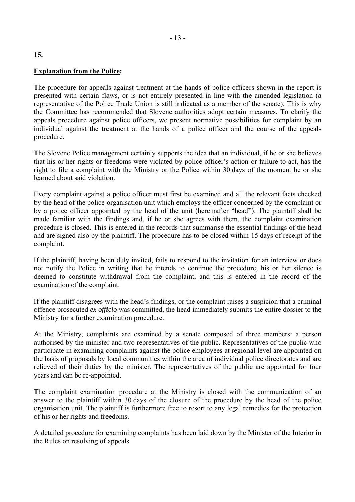#### **Explanation from the Police:**

The procedure for appeals against treatment at the hands of police officers shown in the report is presented with certain flaws, or is not entirely presented in line with the amended legislation (a representative of the Police Trade Union is still indicated as a member of the senate). This is why the Committee has recommended that Slovene authorities adopt certain measures. To clarify the appeals procedure against police officers, we present normative possibilities for complaint by an individual against the treatment at the hands of a police officer and the course of the appeals procedure.

The Slovene Police management certainly supports the idea that an individual, if he or she believes that his or her rights or freedoms were violated by police officer's action or failure to act, has the right to file a complaint with the Ministry or the Police within 30 days of the moment he or she learned about said violation.

Every complaint against a police officer must first be examined and all the relevant facts checked by the head of the police organisation unit which employs the officer concerned by the complaint or by a police officer appointed by the head of the unit (hereinafter "head"). The plaintiff shall be made familiar with the findings and, if he or she agrees with them, the complaint examination procedure is closed. This is entered in the records that summarise the essential findings of the head and are signed also by the plaintiff. The procedure has to be closed within 15 days of receipt of the complaint.

If the plaintiff, having been duly invited, fails to respond to the invitation for an interview or does not notify the Police in writing that he intends to continue the procedure, his or her silence is deemed to constitute withdrawal from the complaint, and this is entered in the record of the examination of the complaint.

If the plaintiff disagrees with the head's findings, or the complaint raises a suspicion that a criminal offence prosecuted *ex officio* was committed, the head immediately submits the entire dossier to the Ministry for a further examination procedure.

At the Ministry, complaints are examined by a senate composed of three members: a person authorised by the minister and two representatives of the public. Representatives of the public who participate in examining complaints against the police employees at regional level are appointed on the basis of proposals by local communities within the area of individual police directorates and are relieved of their duties by the minister. The representatives of the public are appointed for four years and can be re-appointed.

The complaint examination procedure at the Ministry is closed with the communication of an answer to the plaintiff within 30 days of the closure of the procedure by the head of the police organisation unit. The plaintiff is furthermore free to resort to any legal remedies for the protection of his or her rights and freedoms.

A detailed procedure for examining complaints has been laid down by the Minister of the Interior in the Rules on resolving of appeals.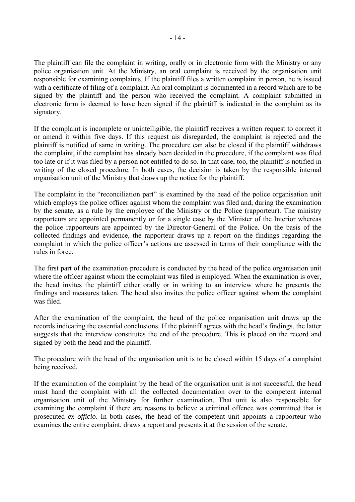The plaintiff can file the complaint in writing, orally or in electronic form with the Ministry or any police organisation unit. At the Ministry, an oral complaint is received by the organisation unit responsible for examining complaints. If the plaintiff files a written complaint in person, he is issued with a certificate of filing of a complaint. An oral complaint is documented in a record which are to be signed by the plaintiff and the person who received the complaint. A complaint submitted in electronic form is deemed to have been signed if the plaintiff is indicated in the complaint as its signatory.

If the complaint is incomplete or unintelligible, the plaintiff receives a written request to correct it or amend it within five days. If this request ais disregarded, the complaint is rejected and the plaintiff is notified of same in writing. The procedure can also be closed if the plaintiff withdraws the complaint, if the complaint has already been decided in the procedure, if the complaint was filed too late or if it was filed by a person not entitled to do so. In that case, too, the plaintiff is notified in writing of the closed procedure. In both cases, the decision is taken by the responsible internal organisation unit of the Ministry that draws up the notice for the plaintiff.

The complaint in the "reconciliation part" is examined by the head of the police organisation unit which employs the police officer against whom the complaint was filed and, during the examination by the senate, as a rule by the employee of the Ministry or the Police (rapporteur). The ministry rapporteurs are appointed permanently or for a single case by the Minister of the Interior whereas the police rapporteurs are appointed by the Director-General of the Police. On the basis of the collected findings and evidence, the rapporteur draws up a report on the findings regarding the complaint in which the police officer's actions are assessed in terms of their compliance with the rules in force.

The first part of the examination procedure is conducted by the head of the police organisation unit where the officer against whom the complaint was filed is employed. When the examination is over, the head invites the plaintiff either orally or in writing to an interview where he presents the findings and measures taken. The head also invites the police officer against whom the complaint was filed.

After the examination of the complaint, the head of the police organisation unit draws up the records indicating the essential conclusions. If the plaintiff agrees with the head's findings, the latter suggests that the interview constitutes the end of the procedure. This is placed on the record and signed by both the head and the plaintiff.

The procedure with the head of the organisation unit is to be closed within 15 days of a complaint being received.

If the examination of the complaint by the head of the organisation unit is not successful, the head must hand the complaint with all the collected documentation over to the competent internal organisation unit of the Ministry for further examination. That unit is also responsible for examining the complaint if there are reasons to believe a criminal offence was committed that is prosecuted *ex officio*. In both cases, the head of the competent unit appoints a rapporteur who examines the entire complaint, draws a report and presents it at the session of the senate.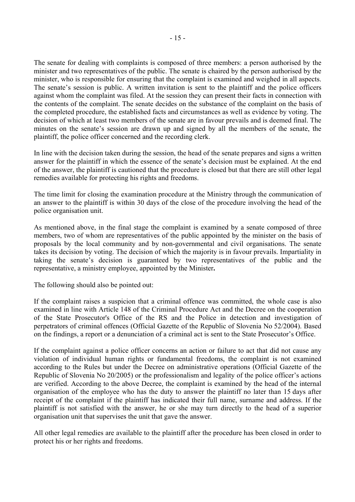The senate for dealing with complaints is composed of three members: a person authorised by the minister and two representatives of the public. The senate is chaired by the person authorised by the minister, who is responsible for ensuring that the complaint is examined and weighed in all aspects. The senate's session is public. A written invitation is sent to the plaintiff and the police officers against whom the complaint was filed. At the session they can present their facts in connection with the contents of the complaint. The senate decides on the substance of the complaint on the basis of the completed procedure, the established facts and circumstances as well as evidence by voting. The decision of which at least two members of the senate are in favour prevails and is deemed final. The minutes on the senate's session are drawn up and signed by all the members of the senate, the plaintiff, the police officer concerned and the recording clerk.

In line with the decision taken during the session, the head of the senate prepares and signs a written answer for the plaintiff in which the essence of the senate's decision must be explained. At the end of the answer, the plaintiff is cautioned that the procedure is closed but that there are still other legal remedies available for protecting his rights and freedoms.

The time limit for closing the examination procedure at the Ministry through the communication of an answer to the plaintiff is within 30 days of the close of the procedure involving the head of the police organisation unit.

As mentioned above, in the final stage the complaint is examined by a senate composed of three members, two of whom are representatives of the public appointed by the minister on the basis of proposals by the local community and by non-governmental and civil organisations. The senate takes its decision by voting. The decision of which the majority is in favour prevails. Impartiality in taking the senate's decision is guaranteed by two representatives of the public and the representative, a ministry employee, appointed by the Minister**.** 

The following should also be pointed out:

If the complaint raises a suspicion that a criminal offence was committed, the whole case is also examined in line with Article 148 of the Criminal Procedure Act and the Decree on the cooperation of the State Prosecutor's Office of the RS and the Police in detection and investigation of perpetrators of criminal offences (Official Gazette of the Republic of Slovenia No 52/2004). Based on the findings, a report or a denunciation of a criminal act is sent to the State Prosecutor's Office.

If the complaint against a police officer concerns an action or failure to act that did not cause any violation of individual human rights or fundamental freedoms, the complaint is not examined according to the Rules but under the Decree on administrative operations (Official Gazette of the Republic of Slovenia No 20/2005) or the professionalism and legality of the police officer's actions are verified. According to the above Decree, the complaint is examined by the head of the internal organisation of the employee who has the duty to answer the plaintiff no later than 15 days after receipt of the complaint if the plaintiff has indicated their full name, surname and address. If the plaintiff is not satisfied with the answer, he or she may turn directly to the head of a superior organisation unit that supervises the unit that gave the answer.

All other legal remedies are available to the plaintiff after the procedure has been closed in order to protect his or her rights and freedoms.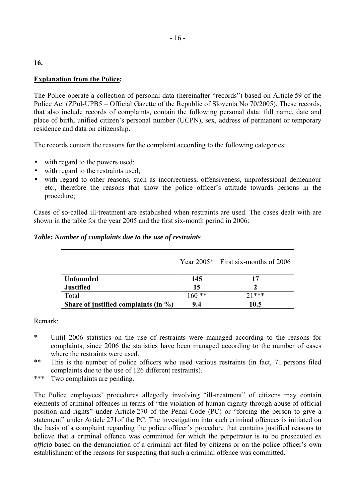## **Explanation from the Police:**

The Police operate a collection of personal data (hereinafter "records") based on Article 59 of the Police Act (ZPol-UPB5 – Official Gazette of the Republic of Slovenia No 70/2005). These records, that also include records of complaints, contain the following personal data: full name, date and place of birth, unified citizen's personal number (UCPN), sex, address of permanent or temporary residence and data on citizenship.

The records contain the reasons for the complaint according to the following categories:

- with regard to the powers used;
- with regard to the restraints used;
- with regard to other reasons, such as incorrectness, offensiveness, unprofessional demeanour etc., therefore the reasons that show the police officer's attitude towards persons in the procedure;

Cases of so-called ill-treatment are established when restraints are used. The cases dealt with are shown in the table for the year 2005 and the first six-month period in 2006:

## *Table: Number of complaints due to the use of restraints*

|                                          |         | Year $2005*$ First six-months of 2006 |
|------------------------------------------|---------|---------------------------------------|
| <b>Unfounded</b>                         | 145     | 17                                    |
| <b>Justified</b>                         | 15      |                                       |
| Total                                    | $160**$ | $71***$                               |
| Share of justified complaints (in $\%$ ) | 9.4     | 10.5                                  |

Remark:

- \* Until 2006 statistics on the use of restraints were managed according to the reasons for complaints; since 2006 the statistics have been managed according to the number of cases where the restraints were used.
- \*\* This is the number of police officers who used various restraints (in fact, 71 persons filed complaints due to the use of 126 different restraints).
- \*\*\* Two complaints are pending.

The Police employees' procedures allegedly involving "ill-treatment" of citizens may contain elements of criminal offences in terms of "the violation of human dignity through abuse of official position and rights" under Article 270 of the Penal Code (PC) or "forcing the person to give a statement" under Article 271of the PC. The investigation into such criminal offences is initiated on the basis of a complaint regarding the police officer's procedure that contains justified reasons to believe that a criminal offence was committed for which the perpetrator is to be prosecuted *ex officio* based on the denunciation of a criminal act filed by citizens or on the police officer's own establishment of the reasons for suspecting that such a criminal offence was committed.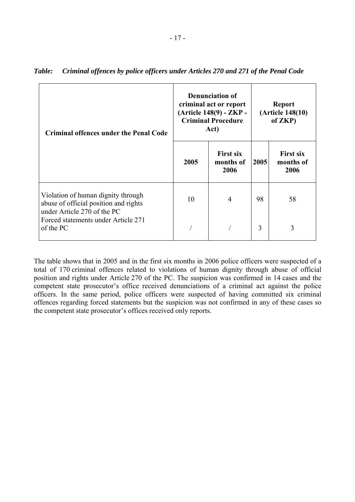| <b>Criminal offences under the Penal Code</b>                                                              |      | <b>Denunciation of</b><br>criminal act or report<br>(Article 148(9) - ZKP -<br><b>Criminal Procedure</b><br>Act) | <b>Report</b><br>(Article 148(10)<br>of ZKP) |                                       |  |
|------------------------------------------------------------------------------------------------------------|------|------------------------------------------------------------------------------------------------------------------|----------------------------------------------|---------------------------------------|--|
|                                                                                                            | 2005 | <b>First six</b><br>months of<br>2006                                                                            | 2005                                         | <b>First six</b><br>months of<br>2006 |  |
| Violation of human dignity through<br>abuse of official position and rights<br>under Article 270 of the PC | 10   | $\overline{4}$                                                                                                   | 98                                           | 58                                    |  |
| Forced statements under Article 271<br>of the PC                                                           |      |                                                                                                                  | 3                                            | 3                                     |  |

|  |  | Table: Criminal offences by police officers under Articles 270 and 271 of the Penal Code |
|--|--|------------------------------------------------------------------------------------------|
|  |  |                                                                                          |

The table shows that in 2005 and in the first six months in 2006 police officers were suspected of a total of 170 criminal offences related to violations of human dignity through abuse of official position and rights under Article 270 of the PC. The suspicion was confirmed in 14 cases and the competent state prosecutor's office received denunciations of a criminal act against the police officers. In the same period, police officers were suspected of having committed six criminal offences regarding forced statements but the suspicion was not confirmed in any of these cases so the competent state prosecutor's offices received only reports.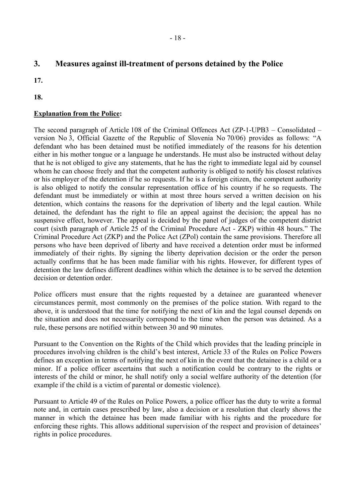# **3. Measures against ill-treatment of persons detained by the Police**

- **17.**
- **18.**

# **Explanation from the Police:**

The second paragraph of Article 108 of the Criminal Offences Act (ZP-1-UPB3 – Consolidated – version No 3, Official Gazette of the Republic of Slovenia No 70/06) provides as follows: "A defendant who has been detained must be notified immediately of the reasons for his detention either in his mother tongue or a language he understands. He must also be instructed without delay that he is not obliged to give any statements, that he has the right to immediate legal aid by counsel whom he can choose freely and that the competent authority is obliged to notify his closest relatives or his employer of the detention if he so requests. If he is a foreign citizen, the competent authority is also obliged to notify the consular representation office of his country if he so requests. The defendant must be immediately or within at most three hours served a written decision on his detention, which contains the reasons for the deprivation of liberty and the legal caution. While detained, the defendant has the right to file an appeal against the decision; the appeal has no suspensive effect, however. The appeal is decided by the panel of judges of the competent district court (sixth paragraph of Article 25 of the Criminal Procedure Act - ZKP) within 48 hours." The Criminal Procedure Act (ZKP) and the Police Act (ZPol) contain the same provisions. Therefore all persons who have been deprived of liberty and have received a detention order must be informed immediately of their rights. By signing the liberty deprivation decision or the order the person actually confirms that he has been made familiar with his rights. However, for different types of detention the law defines different deadlines within which the detainee is to be served the detention decision or detention order.

Police officers must ensure that the rights requested by a detainee are guaranteed whenever circumstances permit, most commonly on the premises of the police station. With regard to the above, it is understood that the time for notifying the next of kin and the legal counsel depends on the situation and does not necessarily correspond to the time when the person was detained. As a rule, these persons are notified within between 30 and 90 minutes.

Pursuant to the Convention on the Rights of the Child which provides that the leading principle in procedures involving children is the child's best interest, Article 33 of the Rules on Police Powers defines an exception in terms of notifying the next of kin in the event that the detainee is a child or a minor. If a police officer ascertains that such a notification could be contrary to the rights or interests of the child or minor, he shall notify only a social welfare authority of the detention (for example if the child is a victim of parental or domestic violence).

Pursuant to Article 49 of the Rules on Police Powers, a police officer has the duty to write a formal note and, in certain cases prescribed by law, also a decision or a resolution that clearly shows the manner in which the detainee has been made familiar with his rights and the procedure for enforcing these rights. This allows additional supervision of the respect and provision of detainees<sup>7</sup> rights in police procedures.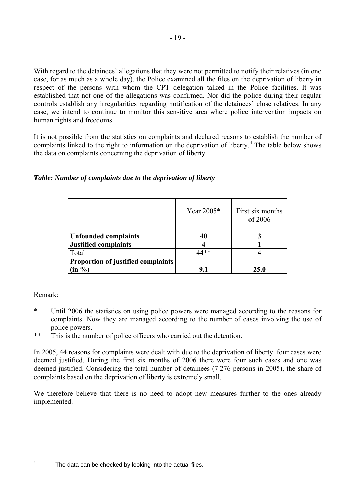With regard to the detainees' allegations that they were not permitted to notify their relatives (in one case, for as much as a whole day), the Police examined all the files on the deprivation of liberty in respect of the persons with whom the CPT delegation talked in the Police facilities. It was established that not one of the allegations was confirmed. Nor did the police during their regular controls establish any irregularities regarding notification of the detainees' close relatives. In any case, we intend to continue to monitor this sensitive area where police intervention impacts on human rights and freedoms.

It is not possible from the statistics on complaints and declared reasons to establish the number of complaints linked to the right to information on the deprivation of liberty.<sup>[4](#page-18-0)</sup> The table below shows the data on complaints concerning the deprivation of liberty.

| Table: Number of complaints due to the deprivation of liberty |  |  |  |  |  |  |  |
|---------------------------------------------------------------|--|--|--|--|--|--|--|
|---------------------------------------------------------------|--|--|--|--|--|--|--|

|                                           | Year 2005* | First six months<br>of 2006 |
|-------------------------------------------|------------|-----------------------------|
| <b>Unfounded complaints</b>               | 40         |                             |
| <b>Justified complaints</b>               |            |                             |
| Total                                     | 44**       |                             |
| <b>Proportion of justified complaints</b> |            |                             |
| $\left( \text{in } \% \right)$            | 9.1        | 25.0                        |

# Remark:

- \* Until 2006 the statistics on using police powers were managed according to the reasons for complaints. Now they are managed according to the number of cases involving the use of police powers.
- \*\* This is the number of police officers who carried out the detention.

In 2005, 44 reasons for complaints were dealt with due to the deprivation of liberty. four cases were deemed justified. During the first six months of 2006 there were four such cases and one was deemed justified. Considering the total number of detainees (7 276 persons in 2005), the share of complaints based on the deprivation of liberty is extremely small.

We therefore believe that there is no need to adopt new measures further to the ones already implemented.

<span id="page-18-0"></span> $\frac{1}{4}$ 

The data can be checked by looking into the actual files.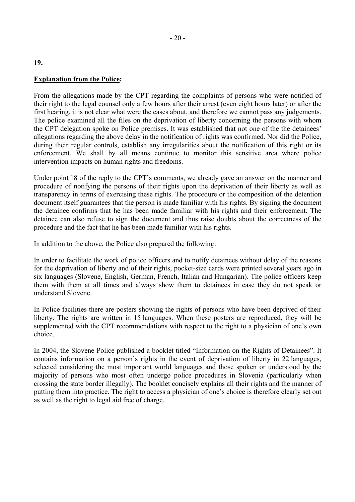#### **Explanation from the Police:**

From the allegations made by the CPT regarding the complaints of persons who were notified of their right to the legal counsel only a few hours after their arrest (even eight hours later) or after the first hearing, it is not clear what were the cases about, and therefore we cannot pass any judgements. The police examined all the files on the deprivation of liberty concerning the persons with whom the CPT delegation spoke on Police premises. It was established that not one of the the detainees' allegations regarding the above delay in the notification of rights was confirmed. Nor did the Police, during their regular controls, establish any irregularities about the notification of this right or its enforcement. We shall by all means continue to monitor this sensitive area where police intervention impacts on human rights and freedoms.

Under point 18 of the reply to the CPT's comments, we already gave an answer on the manner and procedure of notifying the persons of their rights upon the deprivation of their liberty as well as transparency in terms of exercising these rights. The procedure or the composition of the detention document itself guarantees that the person is made familiar with his rights. By signing the document the detainee confirms that he has been made familiar with his rights and their enforcement. The detainee can also refuse to sign the document and thus raise doubts about the correctness of the procedure and the fact that he has been made familiar with his rights.

In addition to the above, the Police also prepared the following:

In order to facilitate the work of police officers and to notify detainees without delay of the reasons for the deprivation of liberty and of their rights, pocket-size cards were printed several years ago in six languages (Slovene, English, German, French, Italian and Hungarian). The police officers keep them with them at all times and always show them to detainees in case they do not speak or understand Slovene.

In Police facilities there are posters showing the rights of persons who have been deprived of their liberty. The rights are written in 15 languages. When these posters are reproduced, they will be supplemented with the CPT recommendations with respect to the right to a physician of one's own choice.

In 2004, the Slovene Police published a booklet titled "Information on the Rights of Detainees". It contains information on a person's rights in the event of deprivation of liberty in 22 languages, selected considering the most important world languages and those spoken or understood by the majority of persons who most often undergo police procedures in Slovenia (particularly when crossing the state border illegally). The booklet concisely explains all their rights and the manner of putting them into practice. The right to access a physician of one's choice is therefore clearly set out as well as the right to legal aid free of charge.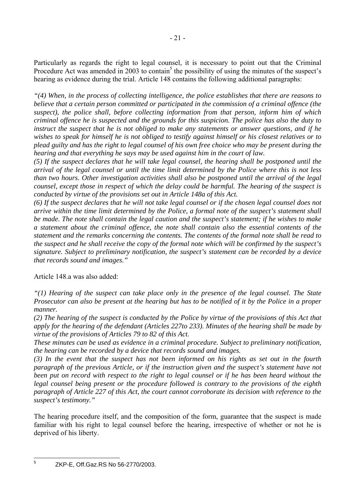Particularly as regards the right to legal counsel, it is necessary to point out that the Criminal Procedure Act was amended in 2003 to contain<sup>5</sup> the possibility of using the minutes of the suspect's hearing as evidence during the trial. Article 148 contains the following additional paragraphs:

*"(4) When, in the process of collecting intelligence, the police establishes that there are reasons to believe that a certain person committed or participated in the commission of a criminal offence (the suspect), the police shall, before collecting information from that person, inform him of which criminal offence he is suspected and the grounds for this suspicion. The police has also the duty to instruct the suspect that he is not obliged to make any statements or answer questions, and if he wishes to speak for himself he is not obliged to testify against himself or his closest relatives or to plead guilty and has the right to legal counsel of his own free choice who may be present during the hearing and that everything he says may be used against him in the court of law.* 

*(5) If the suspect declares that he will take legal counsel, the hearing shall be postponed until the arrival of the legal counsel or until the time limit determined by the Police where this is not less than two hours. Other investigation activities shall also be postponed until the arrival of the legal counsel, except those in respect of which the delay could be harmful. The hearing of the suspect is conducted by virtue of the provisions set out in Article 148a of this Act.* 

*(6) If the suspect declares that he will not take legal counsel or if the chosen legal counsel does not arrive within the time limit determined by the Police, a formal note of the suspect's statement shall be made. The note shall contain the legal caution and the suspect's statement; if he wishes to make a statement about the criminal offence, the note shall contain also the essential contents of the statement and the remarks concerning the contents. The contents of the formal note shall be read to the suspect and he shall receive the copy of the formal note which will be confirmed by the suspect's signature. Subject to preliminary notification, the suspect's statement can be recorded by a device that records sound and images."*

Article 148.a was also added:

*"(1) Hearing of the suspect can take place only in the presence of the legal counsel. The State Prosecutor can also be present at the hearing but has to be notified of it by the Police in a proper manner.* 

*(2) The hearing of the suspect is conducted by the Police by virtue of the provisions of this Act that apply for the hearing of the defendant (Articles 227to 233). Minutes of the hearing shall be made by virtue of the provisions of Articles 79 to 82 of this Act.* 

*These minutes can be used as evidence in a criminal procedure. Subject to preliminary notification, the hearing can be recorded by a device that records sound and images.* 

*(3) In the event that the suspect has not been informed on his rights as set out in the fourth paragraph of the previous Article, or if the instruction given and the suspect's statement have not been put on record with respect to the right to legal counsel or if he has been heard without the legal counsel being present or the procedure followed is contrary to the provisions of the eighth paragraph of Article 227 of this Act, the court cannot corroborate its decision with reference to the suspect's testimony."* 

The hearing procedure itself, and the composition of the form, guarantee that the suspect is made familiar with his right to legal counsel before the hearing, irrespective of whether or not he is deprived of his liberty.

<span id="page-20-0"></span> $\frac{1}{5}$ 

ZKP-E, Off.Gaz.RS No 56-2770/2003.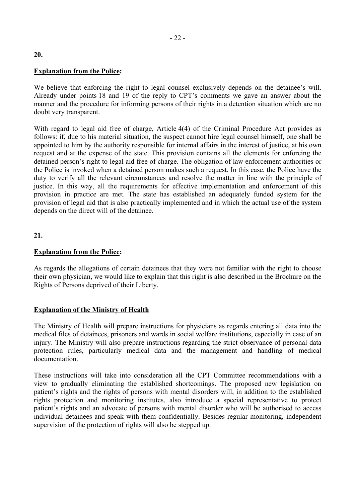#### **Explanation from the Police:**

We believe that enforcing the right to legal counsel exclusively depends on the detainee's will. Already under points 18 and 19 of the reply to CPT's comments we gave an answer about the manner and the procedure for informing persons of their rights in a detention situation which are no doubt very transparent.

With regard to legal aid free of charge, Article 4(4) of the Criminal Procedure Act provides as follows: if, due to his material situation, the suspect cannot hire legal counsel himself, one shall be appointed to him by the authority responsible for internal affairs in the interest of justice, at his own request and at the expense of the state. This provision contains all the elements for enforcing the detained person's right to legal aid free of charge. The obligation of law enforcement authorities or the Police is invoked when a detained person makes such a request. In this case, the Police have the duty to verify all the relevant circumstances and resolve the matter in line with the principle of justice. In this way, all the requirements for effective implementation and enforcement of this provision in practice are met. The state has established an adequately funded system for the provision of legal aid that is also practically implemented and in which the actual use of the system depends on the direct will of the detainee.

**21.**

#### **Explanation from the Police:**

As regards the allegations of certain detainees that they were not familiar with the right to choose their own physician, we would like to explain that this right is also described in the Brochure on the Rights of Persons deprived of their Liberty.

#### **Explanation of the Ministry of Health**

The Ministry of Health will prepare instructions for physicians as regards entering all data into the medical files of detainees, prisoners and wards in social welfare institutions, especially in case of an injury. The Ministry will also prepare instructions regarding the strict observance of personal data protection rules, particularly medical data and the management and handling of medical documentation.

These instructions will take into consideration all the CPT Committee recommendations with a view to gradually eliminating the established shortcomings. The proposed new legislation on patient's rights and the rights of persons with mental disorders will, in addition to the established rights protection and monitoring institutes, also introduce a special representative to protect patient's rights and an advocate of persons with mental disorder who will be authorised to access individual detainees and speak with them confidentially. Besides regular monitoring, independent supervision of the protection of rights will also be stepped up.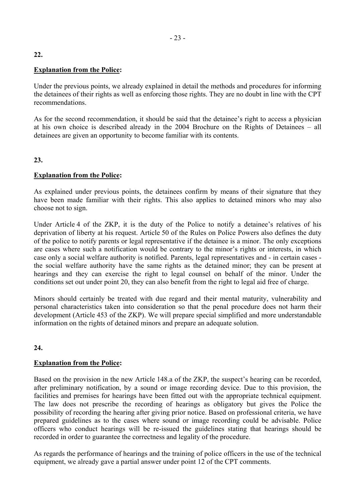## **Explanation from the Police:**

Under the previous points, we already explained in detail the methods and procedures for informing the detainees of their rights as well as enforcing those rights. They are no doubt in line with the CPT recommendations.

As for the second recommendation, it should be said that the detainee's right to access a physician at his own choice is described already in the  $2004$  Brochure on the Rights of Detainees – all detainees are given an opportunity to become familiar with its contents.

## **23.**

## **Explanation from the Police:**

As explained under previous points, the detainees confirm by means of their signature that they have been made familiar with their rights. This also applies to detained minors who may also choose not to sign.

Under Article 4 of the ZKP, it is the duty of the Police to notify a detainee's relatives of his deprivation of liberty at his request. Article 50 of the Rules on Police Powers also defines the duty of the police to notify parents or legal representative if the detainee is a minor. The only exceptions are cases where such a notification would be contrary to the minor's rights or interests, in which case only a social welfare authority is notified. Parents, legal representatives and - in certain cases the social welfare authority have the same rights as the detained minor; they can be present at hearings and they can exercise the right to legal counsel on behalf of the minor. Under the conditions set out under point 20, they can also benefit from the right to legal aid free of charge.

Minors should certainly be treated with due regard and their mental maturity, vulnerability and personal characteristics taken into consideration so that the penal procedure does not harm their development (Article 453 of the ZKP). We will prepare special simplified and more understandable information on the rights of detained minors and prepare an adequate solution.

## **24.**

## **Explanation from the Police:**

Based on the provision in the new Article 148.a of the ZKP, the suspect's hearing can be recorded, after preliminary notification, by a sound or image recording device. Due to this provision, the facilities and premises for hearings have been fitted out with the appropriate technical equipment. The law does not prescribe the recording of hearings as obligatory but gives the Police the possibility of recording the hearing after giving prior notice. Based on professional criteria, we have prepared guidelines as to the cases where sound or image recording could be advisable. Police officers who conduct hearings will be re-issued the guidelines stating that hearings should be recorded in order to guarantee the correctness and legality of the procedure.

As regards the performance of hearings and the training of police officers in the use of the technical equipment, we already gave a partial answer under point 12 of the CPT comments.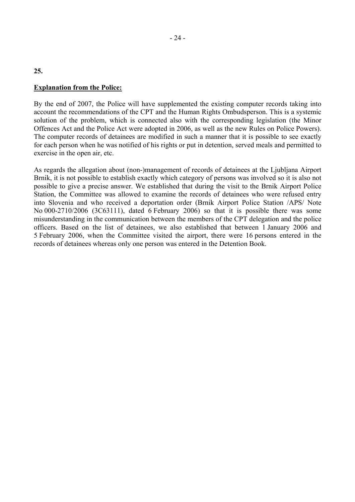#### **Explanation from the Police:**

By the end of 2007, the Police will have supplemented the existing computer records taking into account the recommendations of the CPT and the Human Rights Ombudsperson. This is a systemic solution of the problem, which is connected also with the corresponding legislation (the Minor Offences Act and the Police Act were adopted in 2006, as well as the new Rules on Police Powers). The computer records of detainees are modified in such a manner that it is possible to see exactly for each person when he was notified of his rights or put in detention, served meals and permitted to exercise in the open air, etc.

As regards the allegation about (non-)management of records of detainees at the Ljubljana Airport Brnik, it is not possible to establish exactly which category of persons was involved so it is also not possible to give a precise answer. We established that during the visit to the Brnik Airport Police Station, the Committee was allowed to examine the records of detainees who were refused entry into Slovenia and who received a deportation order (Brnik Airport Police Station /APS/ Note No 000-2710/2006 (3C63111), dated 6 February 2006) so that it is possible there was some misunderstanding in the communication between the members of the CPT delegation and the police officers. Based on the list of detainees, we also established that between 1 January 2006 and 5 February 2006, when the Committee visited the airport, there were 16 persons entered in the records of detainees whereas only one person was entered in the Detention Book.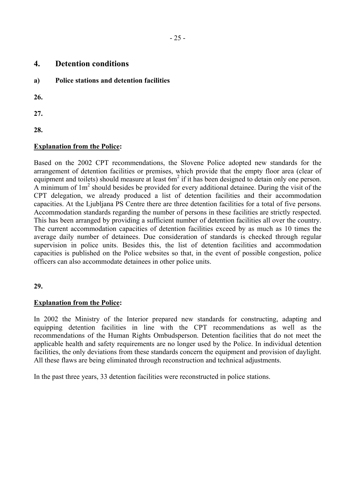| 4. | <b>Detention conditions</b> |
|----|-----------------------------|
|    |                             |

**a) Police stations and detention facilities** 

**26.**

**27.**

**28.**

# **Explanation from the Police:**

Based on the 2002 CPT recommendations, the Slovene Police adopted new standards for the arrangement of detention facilities or premises, which provide that the empty floor area (clear of equipment and toilets) should measure at least  $6m^2$  if it has been designed to detain only one person. A minimum of  $1m^2$  should besides be provided for every additional detainee. During the visit of the CPT delegation, we already produced a list of detention facilities and their accommodation capacities. At the Ljubljana PS Centre there are three detention facilities for a total of five persons. Accommodation standards regarding the number of persons in these facilities are strictly respected. This has been arranged by providing a sufficient number of detention facilities all over the country. The current accommodation capacities of detention facilities exceed by as much as 10 times the average daily number of detainees. Due consideration of standards is checked through regular supervision in police units. Besides this, the list of detention facilities and accommodation capacities is published on the Police websites so that, in the event of possible congestion, police officers can also accommodate detainees in other police units.

## **29.**

## **Explanation from the Police:**

In 2002 the Ministry of the Interior prepared new standards for constructing, adapting and equipping detention facilities in line with the CPT recommendations as well as the recommendations of the Human Rights Ombudsperson. Detention facilities that do not meet the applicable health and safety requirements are no longer used by the Police. In individual detention facilities, the only deviations from these standards concern the equipment and provision of daylight. All these flaws are being eliminated through reconstruction and technical adjustments.

In the past three years, 33 detention facilities were reconstructed in police stations.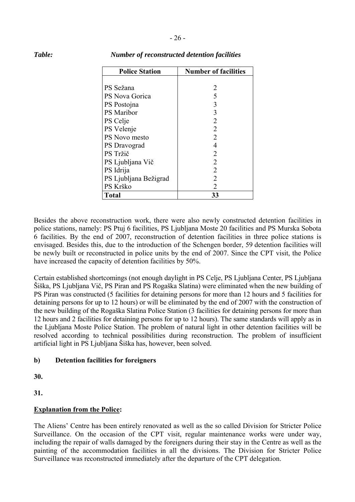| <b>Police Station</b> | <b>Number of facilities</b> |
|-----------------------|-----------------------------|
|                       |                             |
| PS Sežana             | 2                           |
| PS Nova Gorica        | 5                           |
| PS Postojna           | 3                           |
| <b>PS</b> Maribor     | 3                           |
| PS Celje              | $\overline{2}$              |
| PS Velenje            | 2                           |
| PS Novo mesto         | 2                           |
| PS Dravograd          | 4                           |
| PS Tržič              | 2                           |
| PS Ljubljana Vič      | 2                           |
| PS Idrija             | $\overline{2}$              |
| PS Ljubljana Bežigrad | 2                           |
| PS Krško              | 2                           |
| <b>Total</b>          | 33                          |

#### *Table: Number of reconstructed detention facilities*

Besides the above reconstruction work, there were also newly constructed detention facilities in police stations, namely: PS Ptuj 6 facilities, PS Ljubljana Moste 20 facilities and PS Murska Sobota 6 facilities. By the end of 2007, reconstruction of detention facilities in three police stations is envisaged. Besides this, due to the introduction of the Schengen border, 59 detention facilities will be newly built or reconstructed in police units by the end of 2007. Since the CPT visit, the Police have increased the capacity of detention facilities by 50%.

Certain established shortcomings (not enough daylight in PS Celje, PS Ljubljana Center, PS Ljubljana äiöka, PS Ljubljana Vič, PS Piran and PS Rogaöka Slatina) were eliminated when the new building of PS Piran was constructed (5 facilities for detaining persons for more than 12 hours and 5 facilities for detaining persons for up to 12 hours) or will be eliminated by the end of 2007 with the construction of the new building of the Rogaöka Slatina Police Station (3 facilities for detaining persons for more than 12 hours and 2 facilities for detaining persons for up to 12 hours). The same standards will apply as in the Ljubljana Moste Police Station. The problem of natural light in other detention facilities will be resolved according to technical possibilities during reconstruction. The problem of insufficient artificial light in PS Ljubljana äiöka has, however, been solved.

#### **b) Detention facilities for foreigners**

**30.**

**31.** 

## **Explanation from the Police:**

The Aliens' Centre has been entirely renovated as well as the so called Division for Stricter Police Surveillance. On the occasion of the CPT visit, regular maintenance works were under way, including the repair of walls damaged by the foreigners during their stay in the Centre as well as the painting of the accommodation facilities in all the divisions. The Division for Stricter Police Surveillance was reconstructed immediately after the departure of the CPT delegation.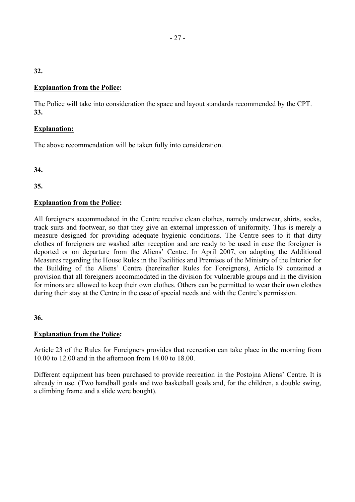# **Explanation from the Police:**

The Police will take into consideration the space and layout standards recommended by the CPT. **33.**

# **Explanation:**

The above recommendation will be taken fully into consideration.

**34.**

**35.**

# **Explanation from the Police:**

All foreigners accommodated in the Centre receive clean clothes, namely underwear, shirts, socks, track suits and footwear, so that they give an external impression of uniformity. This is merely a measure designed for providing adequate hygienic conditions. The Centre sees to it that dirty clothes of foreigners are washed after reception and are ready to be used in case the foreigner is deported or on departure from the Aliens' Centre. In April 2007, on adopting the Additional Measures regarding the House Rules in the Facilities and Premises of the Ministry of the Interior for the Building of the Aliens' Centre (hereinafter Rules for Foreigners), Article 19 contained a provision that all foreigners accommodated in the division for vulnerable groups and in the division for minors are allowed to keep their own clothes. Others can be permitted to wear their own clothes during their stay at the Centre in the case of special needs and with the Centre's permission.

**36.**

## **Explanation from the Police:**

Article 23 of the Rules for Foreigners provides that recreation can take place in the morning from 10.00 to 12.00 and in the afternoon from 14.00 to 18.00.

Different equipment has been purchased to provide recreation in the Postojna Aliens' Centre. It is already in use. (Two handball goals and two basketball goals and, for the children, a double swing, a climbing frame and a slide were bought).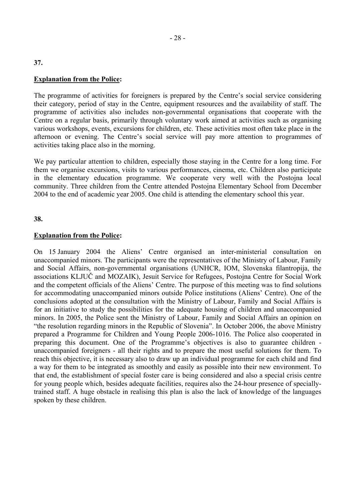#### **Explanation from the Police:**

The programme of activities for foreigners is prepared by the Centre's social service considering their category, period of stay in the Centre, equipment resources and the availability of staff. The programme of activities also includes non-governmental organisations that cooperate with the Centre on a regular basis, primarily through voluntary work aimed at activities such as organising various workshops, events, excursions for children, etc. These activities most often take place in the afternoon or evening. The Centre's social service will pay more attention to programmes of activities taking place also in the morning.

We pay particular attention to children, especially those staying in the Centre for a long time. For them we organise excursions, visits to various performances, cinema, etc. Children also participate in the elementary education programme. We cooperate very well with the Postojna local community. Three children from the Centre attended Postojna Elementary School from December 2004 to the end of academic year 2005. One child is attending the elementary school this year.

#### **38.**

#### **Explanation from the Police:**

On 15 January 2004 the Aliens' Centre organised an inter-ministerial consultation on unaccompanied minors. The participants were the representatives of the Ministry of Labour, Family and Social Affairs, non-governmental organisations (UNHCR, IOM, Slovenska filantropija, the associations KLJUČ and MOZAIK), Jesuit Service for Refugees, Postojna Centre for Social Work and the competent officials of the Aliens' Centre. The purpose of this meeting was to find solutions for accommodating unaccompanied minors outside Police institutions (Aliens' Centre). One of the conclusions adopted at the consultation with the Ministry of Labour, Family and Social Affairs is for an initiative to study the possibilities for the adequate housing of children and unaccompanied minors. In 2005, the Police sent the Ministry of Labour, Family and Social Affairs an opinion on ìthe resolution regarding minors in the Republic of Sloveniaî. In October 2006, the above Ministry prepared a Programme for Children and Young People 2006-1016. The Police also cooperated in preparing this document. One of the Programme's objectives is also to guarantee children unaccompanied foreigners - all their rights and to prepare the most useful solutions for them. To reach this objective, it is necessary also to draw up an individual programme for each child and find a way for them to be integrated as smoothly and easily as possible into their new environment. To that end, the establishment of special foster care is being considered and also a special crisis centre for young people which, besides adequate facilities, requires also the 24-hour presence of speciallytrained staff. A huge obstacle in realising this plan is also the lack of knowledge of the languages spoken by these children.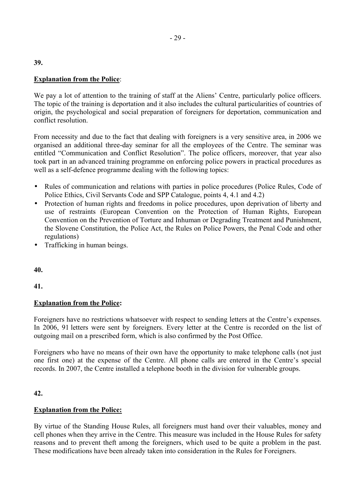## **Explanation from the Police**:

We pay a lot of attention to the training of staff at the Aliens' Centre, particularly police officers. The topic of the training is deportation and it also includes the cultural particularities of countries of origin, the psychological and social preparation of foreigners for deportation, communication and conflict resolution.

From necessity and due to the fact that dealing with foreigners is a very sensitive area, in 2006 we organised an additional three-day seminar for all the employees of the Centre. The seminar was entitled "Communication and Conflict Resolution". The police officers, moreover, that year also took part in an advanced training programme on enforcing police powers in practical procedures as well as a self-defence programme dealing with the following topics:

- Rules of communication and relations with parties in police procedures (Police Rules, Code of Police Ethics, Civil Servants Code and SPP Catalogue, points 4, 4.1 and 4.2)
- Protection of human rights and freedoms in police procedures, upon deprivation of liberty and use of restraints (European Convention on the Protection of Human Rights, European Convention on the Prevention of Torture and Inhuman or Degrading Treatment and Punishment, the Slovene Constitution, the Police Act, the Rules on Police Powers, the Penal Code and other regulations)
- Trafficking in human beings.

**40.**

**41.**

## **Explanation from the Police:**

Foreigners have no restrictions whatsoever with respect to sending letters at the Centre's expenses. In 2006, 91 letters were sent by foreigners. Every letter at the Centre is recorded on the list of outgoing mail on a prescribed form, which is also confirmed by the Post Office.

Foreigners who have no means of their own have the opportunity to make telephone calls (not just one first one) at the expense of the Centre. All phone calls are entered in the Centre's special records. In 2007, the Centre installed a telephone booth in the division for vulnerable groups.

## **42.**

## **Explanation from the Police:**

By virtue of the Standing House Rules, all foreigners must hand over their valuables, money and cell phones when they arrive in the Centre. This measure was included in the House Rules for safety reasons and to prevent theft among the foreigners, which used to be quite a problem in the past. These modifications have been already taken into consideration in the Rules for Foreigners.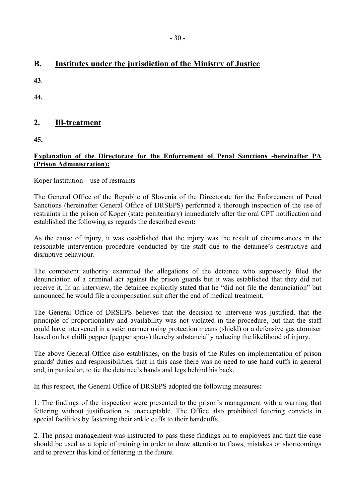# **B. Institutes under the jurisdiction of the Ministry of Justice**

**43**.

**44.**

# **2. Ill-treatment**

**45.** 

# **Explanation of the Directorate for the Enforcement of Penal Sanctions -hereinafter PA (Prison Administration):**

# Koper Institution  $-$  use of restraints

The General Office of the Republic of Slovenia of the Directorate for the Enforcement of Penal Sanctions (hereinafter General Office of DRSEPS) performed a thorough inspection of the use of restraints in the prison of Koper (state penitentiary) immediately after the oral CPT notification and established the following as regards the described event**:** 

As the cause of injury, it was established that the injury was the result of circumstances in the reasonable intervention procedure conducted by the staff due to the detainee's destructive and disruptive behaviour.

The competent authority examined the allegations of the detainee who supposedly filed the denunciation of a criminal act against the prison guards but it was established that they did not receive it. In an interview, the detainee explicitly stated that he "did not file the denunciation" but announced he would file a compensation suit after the end of medical treatment.

The General Office of DRSEPS believes that the decision to intervene was justified, that the principle of proportionality and availability was not violated in the procedure, but that the staff could have intervened in a safer manner using protection means (shield) or a defensive gas atomiser based on hot chilli pepper (pepper spray) thereby substancially reducing the likelihood of injury.

The above General Office also establishes, on the basis of the Rules on implementation of prison guards' duties and responsibilities, that in this case there was no need to use hand cuffs in general and, in particular, to tie the detainee's hands and legs behind his back.

In this respect, the General Office of DRSEPS adopted the following measures**:** 

1. The findings of the inspection were presented to the prisonís management with a warning that fettering without justification is unacceptable. The Office also prohibited fettering convicts in special facilities by fastening their ankle cuffs to their handcuffs.

2. The prison management was instructed to pass these findings on to employees and that the case should be used as a topic of training in order to draw attention to flaws, mistakes or shortcomings and to prevent this kind of fettering in the future.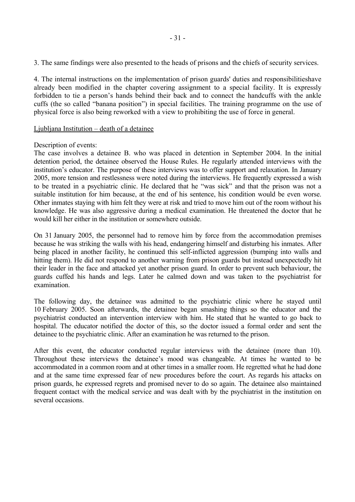3. The same findings were also presented to the heads of prisons and the chiefs of security services.

4. The internal instructions on the implementation of prison guards' duties and responsibilitieshave already been modified in the chapter covering assignment to a special facility. It is expressly forbidden to tie a person's hands behind their back and to connect the handcuffs with the ankle cuffs (the so called "banana position") in special facilities. The training programme on the use of physical force is also being reworked with a view to prohibiting the use of force in general.

#### Ljubljana Institution  $-\text{death}$  of a detainee

#### Description of events:

The case involves a detainee B. who was placed in detention in September 2004. In the initial detention period, the detainee observed the House Rules. He regularly attended interviews with the institution's educator. The purpose of these interviews was to offer support and relaxation. In January 2005, more tension and restlessness were noted during the interviews. He frequently expressed a wish to be treated in a psychiatric clinic. He declared that he "was sick" and that the prison was not a suitable institution for him because, at the end of his sentence, his condition would be even worse. Other inmates staying with him felt they were at risk and tried to move him out of the room without his knowledge. He was also aggressive during a medical examination. He threatened the doctor that he would kill her either in the institution or somewhere outside.

On 31 January 2005, the personnel had to remove him by force from the accommodation premises because he was striking the walls with his head, endangering himself and disturbing his inmates. After being placed in another facility, he continued this self-inflicted aggression (bumping into walls and hitting them). He did not respond to another warning from prison guards but instead unexpectedly hit their leader in the face and attacked yet another prison guard. In order to prevent such behaviour, the guards cuffed his hands and legs. Later he calmed down and was taken to the psychiatrist for examination.

The following day, the detainee was admitted to the psychiatric clinic where he stayed until 10 February 2005. Soon afterwards, the detainee began smashing things so the educator and the psychiatrist conducted an intervention interview with him. He stated that he wanted to go back to hospital. The educator notified the doctor of this, so the doctor issued a formal order and sent the detainee to the psychiatric clinic. After an examination he was returned to the prison.

After this event, the educator conducted regular interviews with the detainee (more than 10). Throughout these interviews the detainee's mood was changeable. At times he wanted to be accommodated in a common room and at other times in a smaller room. He regretted what he had done and at the same time expressed fear of new procedures before the court. As regards his attacks on prison guards, he expressed regrets and promised never to do so again. The detainee also maintained frequent contact with the medical service and was dealt with by the psychiatrist in the institution on several occasions.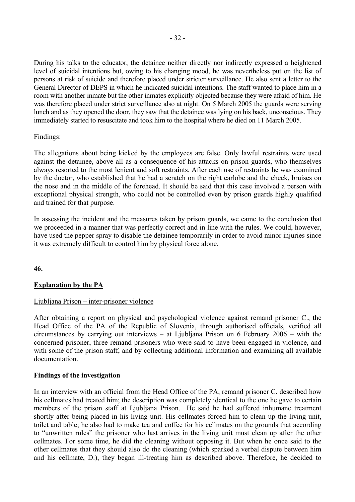During his talks to the educator, the detainee neither directly nor indirectly expressed a heightened level of suicidal intentions but, owing to his changing mood, he was nevertheless put on the list of persons at risk of suicide and therefore placed under stricter surveillance. He also sent a letter to the General Director of DEPS in which he indicated suicidal intentions. The staff wanted to place him in a room with another inmate but the other inmates explicitly objected because they were afraid of him. He was therefore placed under strict surveillance also at night. On 5 March 2005 the guards were serving lunch and as they opened the door, they saw that the detainee was lying on his back, unconscious. They immediately started to resuscitate and took him to the hospital where he died on 11 March 2005.

#### Findings:

The allegations about being kicked by the employees are false. Only lawful restraints were used against the detainee, above all as a consequence of his attacks on prison guards, who themselves always resorted to the most lenient and soft restraints. After each use of restraints he was examined by the doctor, who established that he had a scratch on the right earlobe and the cheek, bruises on the nose and in the middle of the forehead. It should be said that this case involved a person with exceptional physical strength, who could not be controlled even by prison guards highly qualified and trained for that purpose.

In assessing the incident and the measures taken by prison guards, we came to the conclusion that we proceeded in a manner that was perfectly correct and in line with the rules. We could, however, have used the pepper spray to disable the detainee temporarily in order to avoid minor injuries since it was extremely difficult to control him by physical force alone.

**46.**

## **Explanation by the PA**

#### Ljubljana Prison – inter-prisoner violence

After obtaining a report on physical and psychological violence against remand prisoner C., the Head Office of the PA of the Republic of Slovenia, through authorised officials, verified all circumstances by carrying out interviews – at Ljubljana Prison on 6 February 2006 – with the concerned prisoner, three remand prisoners who were said to have been engaged in violence, and with some of the prison staff, and by collecting additional information and examining all available documentation.

#### **Findings of the investigation**

In an interview with an official from the Head Office of the PA, remand prisoner C. described how his cellmates had treated him; the description was completely identical to the one he gave to certain members of the prison staff at Ljubljana Prison. He said he had suffered inhumane treatment shortly after being placed in his living unit. His cellmates forced him to clean up the living unit, toilet and table; he also had to make tea and coffee for his cellmates on the grounds that according to "unwritten rules" the prisoner who last arrives in the living unit must clean up after the other cellmates. For some time, he did the cleaning without opposing it. But when he once said to the other cellmates that they should also do the cleaning (which sparked a verbal dispute between him and his cellmate, D.), they began ill-treating him as described above. Therefore, he decided to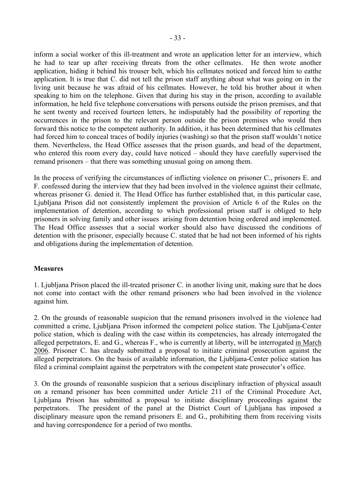inform a social worker of this ill-treatment and wrote an application letter for an interview, which he had to tear up after receiving threats from the other cellmates. He then wrote another application, hiding it behind his trouser belt, which his cellmates noticed and forced him to eatthe application. It is true that C. did not tell the prison staff anything about what was going on in the living unit because he was afraid of his cellmates. However, he told his brother about it when speaking to him on the telephone. Given that during his stay in the prison, according to available information, he held five telephone conversations with persons outside the prison premises, and that he sent twenty and received fourteen letters, he indisputably had the possibility of reporting the occurrences in the prison to the relevant person outside the prison premises who would then forward this notice to the competent authority. In addition, it has been determined that his cellmates had forced him to conceal traces of bodily injuries (washing) so that the prison staff wouldn't notice them. Nevertheless, the Head Office assesses that the prison guards, and head of the department, who entered this room every day, could have noticed  $-$  should they have carefully supervised the remand prisoners – that there was something unusual going on among them.

In the process of verifying the circumstances of inflicting violence on prisoner C., prisoners E. and F. confessed during the interview that they had been involved in the violence against their cellmate, whereas prisoner G. denied it. The Head Office has further established that, in this particular case, Ljubljana Prison did not consistently implement the provision of Article 6 of the Rules on the implementation of detention, according to which professional prison staff is obliged to help prisoners in solving family and other issues arising from detention being ordered and implemented. The Head Office assesses that a social worker should also have discussed the conditions of detention with the prisoner, especially because C. stated that he had not been informed of his rights and obligations during the implementation of detention.

#### **Measures**

1. Ljubljana Prison placed the ill-treated prisoner C. in another living unit, making sure that he does not come into contact with the other remand prisoners who had been involved in the violence against him.

2. On the grounds of reasonable suspicion that the remand prisoners involved in the violence had committed a crime, Ljubljana Prison informed the competent police station. The Ljubljana-Center police station, which is dealing with the case within its competencies, has already interrogated the alleged perpetrators, E. and G., whereas F., who is currently at liberty, will be interrogated in March 2006. Prisoner C. has already submitted a proposal to initiate criminal prosecution against the alleged perpetrators. On the basis of available information, the Ljubljana-Center police station has filed a criminal complaint against the perpetrators with the competent state prosecutor's office.

3. On the grounds of reasonable suspicion that a serious disciplinary infraction of physical assault on a remand prisoner has been committed under Article 211 of the Criminal Procedure Act, Ljubljana Prison has submitted a proposal to initiate disciplinary proceedings against the perpetrators. The president of the panel at the District Court of Ljubljana has imposed a disciplinary measure upon the remand prisoners E. and G., prohibiting them from receiving visits and having correspondence for a period of two months.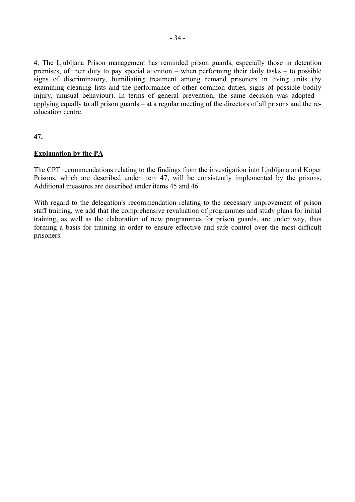4. The Ljubljana Prison management has reminded prison guards, especially those in detention premises, of their duty to pay special attention – when performing their daily tasks  $-$  to possible signs of discriminatory, humiliating treatment among remand prisoners in living units (by examining cleaning lists and the performance of other common duties, signs of possible bodily injury, unusual behaviour). In terms of general prevention, the same decision was adopted  $$ applying equally to all prison guards  $-$  at a regular meeting of the directors of all prisons and the reeducation centre.

**47.**

## **Explanation by the PA**

The CPT recommendations relating to the findings from the investigation into Ljubljana and Koper Prisons, which are described under item 47, will be consistently implemented by the prisons. Additional measures are described under items 45 and 46.

With regard to the delegation's recommendation relating to the necessary improvement of prison staff training, we add that the comprehensive revaluation of programmes and study plans for initial training, as well as the elaboration of new programmes for prison guards, are under way, thus forming a basis for training in order to ensure effective and safe control over the most difficult prisoners.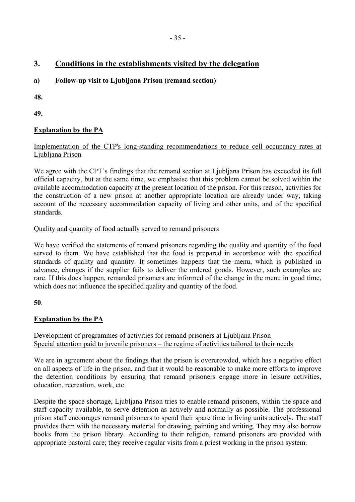# **3. Conditions in the establishments visited by the delegation**

# **a) Follow-up visit to Ljubljana Prison (remand section)**

**48.**

**49.**

# **Explanation by the PA**

# Implementation of the CTP's long-standing recommendations to reduce cell occupancy rates at Ljubljana Prison

We agree with the CPT's findings that the remand section at Ljubljana Prison has exceeded its full official capacity, but at the same time, we emphasise that this problem cannot be solved within the available accommodation capacity at the present location of the prison. For this reason, activities for the construction of a new prison at another appropriate location are already under way, taking account of the necessary accommodation capacity of living and other units, and of the specified standards.

# Quality and quantity of food actually served to remand prisoners

We have verified the statements of remand prisoners regarding the quality and quantity of the food served to them. We have established that the food is prepared in accordance with the specified standards of quality and quantity. It sometimes happens that the menu, which is published in advance, changes if the supplier fails to deliver the ordered goods. However, such examples are rare. If this does happen, remanded prisoners are informed of the change in the menu in good time, which does not influence the specified quality and quantity of the food.

## **50**.

# **Explanation by the PA**

# Development of programmes of activities for remand prisoners at Ljubljana Prison Special attention paid to juvenile prisoners  $-$  the regime of activities tailored to their needs

We are in agreement about the findings that the prison is overcrowded, which has a negative effect on all aspects of life in the prison, and that it would be reasonable to make more efforts to improve the detention conditions by ensuring that remand prisoners engage more in leisure activities, education, recreation, work, etc.

Despite the space shortage, Ljubljana Prison tries to enable remand prisoners, within the space and staff capacity available, to serve detention as actively and normally as possible. The professional prison staff encourages remand prisoners to spend their spare time in living units actively. The staff provides them with the necessary material for drawing, painting and writing. They may also borrow books from the prison library. According to their religion, remand prisoners are provided with appropriate pastoral care; they receive regular visits from a priest working in the prison system.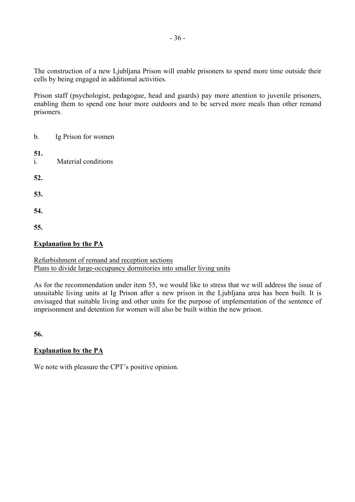The construction of a new Ljubljana Prison will enable prisoners to spend more time outside their cells by being engaged in additional activities.

Prison staff (psychologist, pedagogue, head and guards) pay more attention to juvenile prisoners, enabling them to spend one hour more outdoors and to be served more meals than other remand prisoners.

| $\mathbf b$ .         | Ig Prison for women |  |
|-----------------------|---------------------|--|
| 51.<br>$\mathbf{i}$ . | Material conditions |  |
| 52.                   |                     |  |
| 53.                   |                     |  |
| 54.                   |                     |  |
| 55.                   |                     |  |

# **Explanation by the PA**

# Refurbishment of remand and reception sections Plans to divide large-occupancy dormitories into smaller living units

As for the recommendation under item 55, we would like to stress that we will address the issue of unsuitable living units at Ig Prison after a new prison in the Ljubljana area has been built. It is envisaged that suitable living and other units for the purpose of implementation of the sentence of imprisonment and detention for women will also be built within the new prison.

**56.**

## **Explanation by the PA**

We note with pleasure the CPT's positive opinion.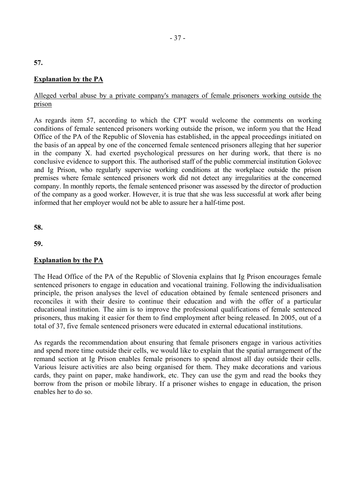#### **Explanation by the PA**

#### Alleged verbal abuse by a private company's managers of female prisoners working outside the prison

As regards item 57, according to which the CPT would welcome the comments on working conditions of female sentenced prisoners working outside the prison, we inform you that the Head Office of the PA of the Republic of Slovenia has established, in the appeal proceedings initiated on the basis of an appeal by one of the concerned female sentenced prisoners alleging that her superior in the company X. had exerted psychological pressures on her during work, that there is no conclusive evidence to support this. The authorised staff of the public commercial institution Golovec and Ig Prison, who regularly supervise working conditions at the workplace outside the prison premises where female sentenced prisoners work did not detect any irregularities at the concerned company. In monthly reports, the female sentenced prisoner was assessed by the director of production of the company as a good worker. However, it is true that she was less successful at work after being informed that her employer would not be able to assure her a half-time post.

**58.**

**59.**

#### **Explanation by the PA**

The Head Office of the PA of the Republic of Slovenia explains that Ig Prison encourages female sentenced prisoners to engage in education and vocational training. Following the individualisation principle, the prison analyses the level of education obtained by female sentenced prisoners and reconciles it with their desire to continue their education and with the offer of a particular educational institution. The aim is to improve the professional qualifications of female sentenced prisoners, thus making it easier for them to find employment after being released. In 2005, out of a total of 37, five female sentenced prisoners were educated in external educational institutions.

As regards the recommendation about ensuring that female prisoners engage in various activities and spend more time outside their cells, we would like to explain that the spatial arrangement of the remand section at Ig Prison enables female prisoners to spend almost all day outside their cells. Various leisure activities are also being organised for them. They make decorations and various cards, they paint on paper, make handiwork, etc. They can use the gym and read the books they borrow from the prison or mobile library. If a prisoner wishes to engage in education, the prison enables her to do so.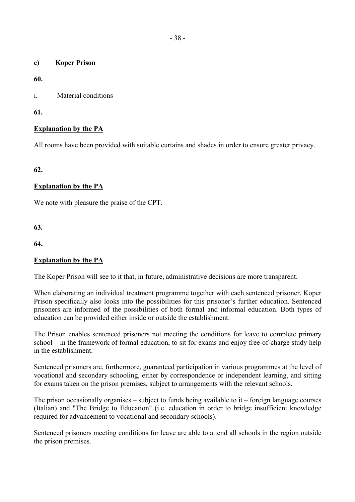**c) Koper Prison** 

**60.** 

i. Material conditions

**61.**

# **Explanation by the PA**

All rooms have been provided with suitable curtains and shades in order to ensure greater privacy.

**62.**

# **Explanation by the PA**

We note with pleasure the praise of the CPT.

**63***.* 

**64.**

## **Explanation by the PA**

The Koper Prison will see to it that, in future, administrative decisions are more transparent.

When elaborating an individual treatment programme together with each sentenced prisoner, Koper Prison specifically also looks into the possibilities for this prisoner's further education. Sentenced prisoners are informed of the possibilities of both formal and informal education. Both types of education can be provided either inside or outside the establishment.

The Prison enables sentenced prisoners not meeting the conditions for leave to complete primary school – in the framework of formal education, to sit for exams and enjoy free-of-charge study help in the establishment.

Sentenced prisoners are, furthermore, guaranteed participation in various programmes at the level of vocational and secondary schooling, either by correspondence or independent learning, and sitting for exams taken on the prison premises, subject to arrangements with the relevant schools.

The prison occasionally organises – subject to funds being available to it – foreign language courses (Italian) and "The Bridge to Education" (i.e. education in order to bridge insufficient knowledge required for advancement to vocational and secondary schools).

Sentenced prisoners meeting conditions for leave are able to attend all schools in the region outside the prison premises.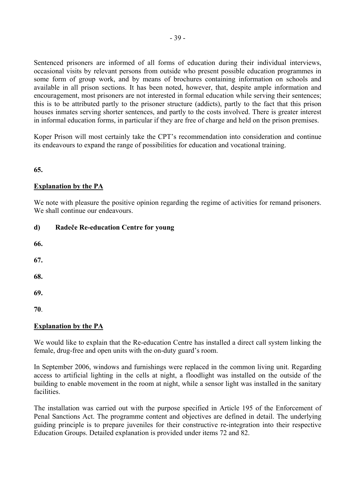Sentenced prisoners are informed of all forms of education during their individual interviews, occasional visits by relevant persons from outside who present possible education programmes in some form of group work, and by means of brochures containing information on schools and available in all prison sections. It has been noted, however, that, despite ample information and encouragement, most prisoners are not interested in formal education while serving their sentences; this is to be attributed partly to the prisoner structure (addicts), partly to the fact that this prison houses inmates serving shorter sentences, and partly to the costs involved. There is greater interest in informal education forms, in particular if they are free of charge and held on the prison premises.

Koper Prison will most certainly take the CPT's recommendation into consideration and continue its endeavours to expand the range of possibilities for education and vocational training.

## **65.**

## **Explanation by the PA**

We note with pleasure the positive opinion regarding the regime of activities for remand prisoners. We shall continue our endeavours.

## **d) Radeče Re-education Centre for young**

- **66.**
- **67.**
- **68.**
- **69.**

**70**.

## **Explanation by the PA**

We would like to explain that the Re-education Centre has installed a direct call system linking the female, drug-free and open units with the on-duty guard's room.

In September 2006, windows and furnishings were replaced in the common living unit. Regarding access to artificial lighting in the cells at night, a floodlight was installed on the outside of the building to enable movement in the room at night, while a sensor light was installed in the sanitary facilities.

The installation was carried out with the purpose specified in Article 195 of the Enforcement of Penal Sanctions Act. The programme content and objectives are defined in detail. The underlying guiding principle is to prepare juveniles for their constructive re-integration into their respective Education Groups. Detailed explanation is provided under items 72 and 82.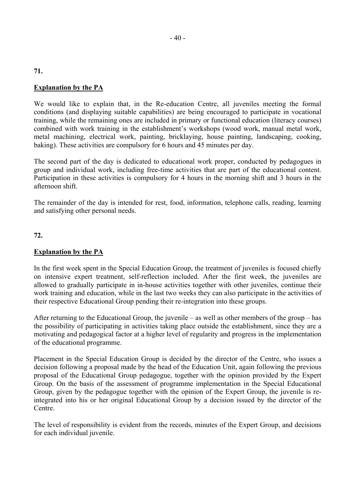# **Explanation by the PA**

**71.** 

We would like to explain that, in the Re-education Centre, all juveniles meeting the formal conditions (and displaying suitable capabilities) are being encouraged to participate in vocational training, while the remaining ones are included in primary or functional education (literacy courses) combined with work training in the establishment's workshops (wood work, manual metal work, metal machining, electrical work, painting, bricklaying, house painting, landscaping, cooking, baking). These activities are compulsory for 6 hours and 45 minutes per day.

The second part of the day is dedicated to educational work proper, conducted by pedagogues in group and individual work, including free-time activities that are part of the educational content. Participation in these activities is compulsory for 4 hours in the morning shift and 3 hours in the afternoon shift.

The remainder of the day is intended for rest, food, information, telephone calls, reading, learning and satisfying other personal needs.

#### **72.**

#### **Explanation by the PA**

In the first week spent in the Special Education Group, the treatment of juveniles is focused chiefly on intensive expert treatment, self-reflection included. After the first week, the juveniles are allowed to gradually participate in in-house activities together with other juveniles, continue their work training and education, while in the last two weeks they can also participate in the activities of their respective Educational Group pending their re-integration into these groups.

After returning to the Educational Group, the juvenile  $-$  as well as other members of the group  $-$  has the possibility of participating in activities taking place outside the establishment, since they are a motivating and pedagogical factor at a higher level of regularity and progress in the implementation of the educational programme.

Placement in the Special Education Group is decided by the director of the Centre, who issues a decision following a proposal made by the head of the Education Unit, again following the previous proposal of the Educational Group pedagogue, together with the opinion provided by the Expert Group. On the basis of the assessment of programme implementation in the Special Educational Group, given by the pedagogue together with the opinion of the Expert Group, the juvenile is reintegrated into his or her original Educational Group by a decision issued by the director of the Centre.

The level of responsibility is evident from the records, minutes of the Expert Group, and decisions for each individual juvenile.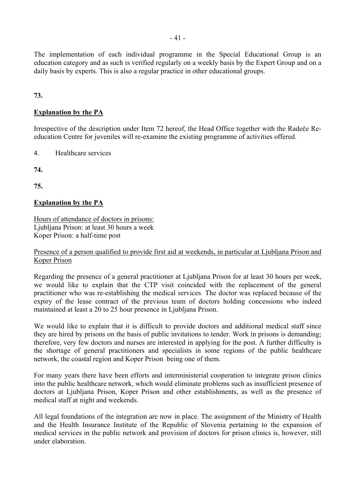The implementation of each individual programme in the Special Educational Group is an education category and as such is verified regularly on a weekly basis by the Expert Group and on a daily basis by experts. This is also a regular practice in other educational groups.

**73.** 

#### **Explanation by the PA**

Irrespective of the description under Item 72 hereof, the Head Office together with the Radeče Reeducation Centre for juveniles will re-examine the existing programme of activities offered.

4. Healthcare services

**74.**

**75.**

#### **Explanation by the PA**

Hours of attendance of doctors in prisons: Ljubljana Prison: at least 30 hours a week Koper Prison: a half-time post

#### Presence of a person qualified to provide first aid at weekends, in particular at Ljubljana Prison and Koper Prison

Regarding the presence of a general practitioner at Ljubljana Prison for at least 30 hours per week, we would like to explain that the CTP visit coincided with the replacement of the general practitioner who was re-establishing the medical services. The doctor was replaced because of the expiry of the lease contract of the previous team of doctors holding concessions who indeed maintained at least a 20 to 25 hour presence in Ljubljana Prison.

We would like to explain that it is difficult to provide doctors and additional medical staff since they are hired by prisons on the basis of public invitations to tender. Work in prisons is demanding; therefore, very few doctors and nurses are interested in applying for the post. A further difficulty is the shortage of general practitioners and specialists in some regions of the public healthcare network, the coastal region and Koper Prison being one of them.

For many years there have been efforts and interministerial cooperation to integrate prison clinics into the public healthcare network, which would eliminate problems such as insufficient presence of doctors at Ljubljana Prison, Koper Prison and other establishments, as well as the presence of medical staff at night and weekends.

All legal foundations of the integration are now in place. The assignment of the Ministry of Health and the Health Insurance Institute of the Republic of Slovenia pertaining to the expansion of medical services in the public network and provision of doctors for prison clinics is, however, still under elaboration.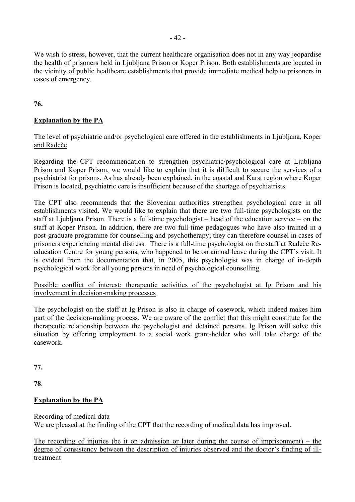We wish to stress, however, that the current healthcare organisation does not in any way jeopardise the health of prisoners held in Ljubljana Prison or Koper Prison. Both establishments are located in the vicinity of public healthcare establishments that provide immediate medical help to prisoners in cases of emergency.

**76.**

# **Explanation by the PA**

#### The level of psychiatric and/or psychological care offered in the establishments in Ljubljana, Koper and Radeče

Regarding the CPT recommendation to strengthen psychiatric/psychological care at Ljubljana Prison and Koper Prison, we would like to explain that it is difficult to secure the services of a psychiatrist for prisons. As has already been explained, in the coastal and Karst region where Koper Prison is located, psychiatric care is insufficient because of the shortage of psychiatrists.

The CPT also recommends that the Slovenian authorities strengthen psychological care in all establishments visited. We would like to explain that there are two full-time psychologists on the staff at Ljubliana Prison. There is a full-time psychologist  $-$  head of the education service  $-$  on the staff at Koper Prison. In addition, there are two full-time pedagogues who have also trained in a post-graduate programme for counselling and psychotherapy; they can therefore counsel in cases of prisoners experiencing mental distress. There is a full-time psychologist on the staff at Radeče Reeducation Centre for young persons, who happened to be on annual leave during the CPT's visit. It is evident from the documentation that, in 2005, this psychologist was in charge of in-depth psychological work for all young persons in need of psychological counselling.

Possible conflict of interest: therapeutic activities of the psychologist at Ig Prison and his involvement in decision-making processes

The psychologist on the staff at Ig Prison is also in charge of casework, which indeed makes him part of the decision-making process. We are aware of the conflict that this might constitute for the therapeutic relationship between the psychologist and detained persons. Ig Prison will solve this situation by offering employment to a social work grant-holder who will take charge of the casework.

**77.**

**78**.

## **Explanation by the PA**

#### Recording of medical data

We are pleased at the finding of the CPT that the recording of medical data has improved.

The recording of injuries (be it on admission or later during the course of imprisonment)  $-$  the degree of consistency between the description of injuries observed and the doctor's finding of illtreatment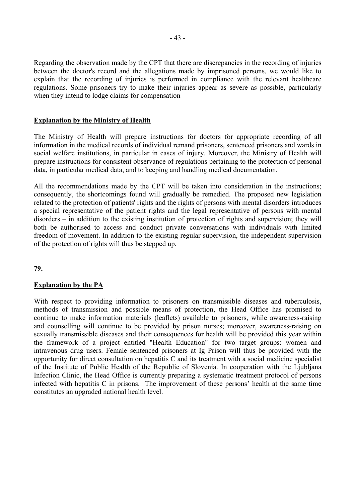Regarding the observation made by the CPT that there are discrepancies in the recording of injuries between the doctor's record and the allegations made by imprisoned persons, we would like to explain that the recording of injuries is performed in compliance with the relevant healthcare regulations. Some prisoners try to make their injuries appear as severe as possible, particularly when they intend to lodge claims for compensation

#### **Explanation by the Ministry of Health**

The Ministry of Health will prepare instructions for doctors for appropriate recording of all information in the medical records of individual remand prisoners, sentenced prisoners and wards in social welfare institutions, in particular in cases of injury. Moreover, the Ministry of Health will prepare instructions for consistent observance of regulations pertaining to the protection of personal data, in particular medical data, and to keeping and handling medical documentation.

All the recommendations made by the CPT will be taken into consideration in the instructions; consequently, the shortcomings found will gradually be remedied. The proposed new legislation related to the protection of patients' rights and the rights of persons with mental disorders introduces a special representative of the patient rights and the legal representative of persons with mental  $disorders - in addition to the existing institution of protection of rights and supervision; they will$ both be authorised to access and conduct private conversations with individuals with limited freedom of movement. In addition to the existing regular supervision, the independent supervision of the protection of rights will thus be stepped up.

**79.**

## **Explanation by the PA**

With respect to providing information to prisoners on transmissible diseases and tuberculosis, methods of transmission and possible means of protection, the Head Office has promised to continue to make information materials (leaflets) available to prisoners, while awareness-raising and counselling will continue to be provided by prison nurses; moreover, awareness-raising on sexually transmissible diseases and their consequences for health will be provided this year within the framework of a project entitled "Health Education" for two target groups: women and intravenous drug users. Female sentenced prisoners at Ig Prison will thus be provided with the opportunity for direct consultation on hepatitis C and its treatment with a social medicine specialist of the Institute of Public Health of the Republic of Slovenia. In cooperation with the Ljubljana Infection Clinic, the Head Office is currently preparing a systematic treatment protocol of persons infected with hepatitis  $C$  in prisons. The improvement of these persons' health at the same time constitutes an upgraded national health level.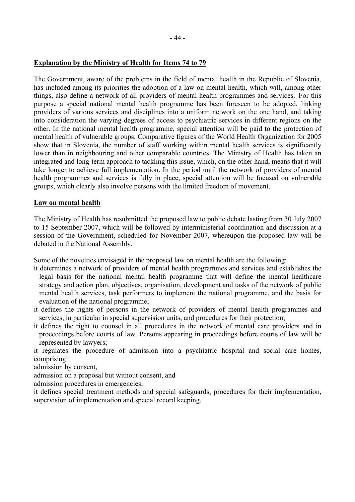#### **Explanation by the Ministry of Health for Items 74 to 79**

The Government, aware of the problems in the field of mental health in the Republic of Slovenia, has included among its priorities the adoption of a law on mental health, which will, among other things, also define a network of all providers of mental health programmes and services. For this purpose a special national mental health programme has been foreseen to be adopted, linking providers of various services and disciplines into a uniform network on the one hand, and taking into consideration the varying degrees of access to psychiatric services in different regions on the other. In the national mental health programme, special attention will be paid to the protection of mental health of vulnerable groups. Comparative figures of the World Health Organization for 2005 show that in Slovenia, the number of staff working within mental health services is significantly lower than in neighbouring and other comparable countries. The Ministry of Health has taken an integrated and long-term approach to tackling this issue, which, on the other hand, means that it will take longer to achieve full implementation. In the period until the network of providers of mental health programmes and services is fully in place, special attention will be focused on vulnerable groups, which clearly also involve persons with the limited freedom of movement.

#### **Law on mental health**

The Ministry of Health has resubmitted the proposed law to public debate lasting from 30 July 2007 to 15 September 2007, which will be followed by interministerial coordination and discussion at a session of the Government, scheduled for November 2007, whereupon the proposed law will be debated in the National Assembly.

Some of the novelties envisaged in the proposed law on mental health are the following:

- it determines a network of providers of mental health programmes and services and establishes the legal basis for the national mental health programme that will define the mental healthcare strategy and action plan, objectives, organisation, development and tasks of the network of public mental health services, task performers to implement the national programme, and the basis for evaluation of the national programme;
- it defines the rights of persons in the network of providers of mental health programmes and services, in particular in special supervision units, and procedures for their protection;
- it defines the right to counsel in all procedures in the network of mental care providers and in proceedings before courts of law. Persons appearing in proceedings before courts of law will be represented by lawyers;

it regulates the procedure of admission into a psychiatric hospital and social care homes, comprising:

admission by consent,

admission on a proposal but without consent, and

admission procedures in emergencies;

it defines special treatment methods and special safeguards, procedures for their implementation, supervision of implementation and special record keeping.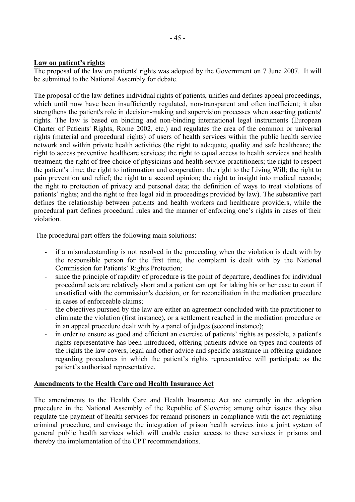## Law on patient's rights

The proposal of the law on patients' rights was adopted by the Government on 7 June 2007. It will be submitted to the National Assembly for debate.

The proposal of the law defines individual rights of patients, unifies and defines appeal proceedings, which until now have been insufficiently regulated, non-transparent and often inefficient; it also strengthens the patient's role in decision-making and supervision processes when asserting patients' rights. The law is based on binding and non-binding international legal instruments (European Charter of Patients' Rights, Rome 2002, etc.) and regulates the area of the common or universal rights (material and procedural rights) of users of health services within the public health service network and within private health activities (the right to adequate, quality and safe healthcare; the right to access preventive healthcare services; the right to equal access to health services and health treatment; the right of free choice of physicians and health service practitioners; the right to respect the patient's time; the right to information and cooperation; the right to the Living Will; the right to pain prevention and relief; the right to a second opinion; the right to insight into medical records; the right to protection of privacy and personal data; the definition of ways to treat violations of patients' rights; and the right to free legal aid in proceedings provided by law). The substantive part defines the relationship between patients and health workers and healthcare providers, while the procedural part defines procedural rules and the manner of enforcing one's rights in cases of their violation.

The procedural part offers the following main solutions:

- if a misunderstanding is not resolved in the proceeding when the violation is dealt with by the responsible person for the first time, the complaint is dealt with by the National Commission for Patients' Rights Protection;
- since the principle of rapidity of procedure is the point of departure, deadlines for individual procedural acts are relatively short and a patient can opt for taking his or her case to court if unsatisfied with the commission's decision, or for reconciliation in the mediation procedure in cases of enforceable claims;
- the objectives pursued by the law are either an agreement concluded with the practitioner to eliminate the violation (first instance), or a settlement reached in the mediation procedure or in an appeal procedure dealt with by a panel of judges (second instance);
- in order to ensure as good and efficient an exercise of patients' rights as possible, a patient's rights representative has been introduced, offering patients advice on types and contents of the rights the law covers, legal and other advice and specific assistance in offering guidance regarding procedures in which the patient's rights representative will participate as the patient's authorised representative.

## **Amendments to the Health Care and Health Insurance Act**

The amendments to the Health Care and Health Insurance Act are currently in the adoption procedure in the National Assembly of the Republic of Slovenia; among other issues they also regulate the payment of health services for remand prisoners in compliance with the act regulating criminal procedure, and envisage the integration of prison health services into a joint system of general public health services which will enable easier access to these services in prisons and thereby the implementation of the CPT recommendations.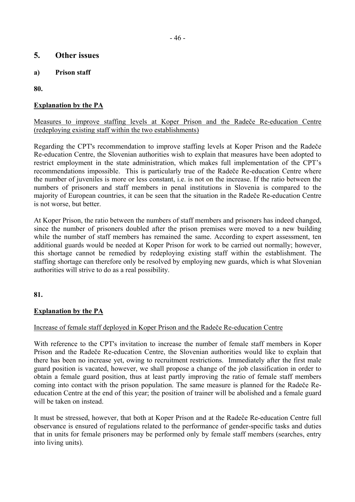# **5. Other issues**

**a) Prison staff** 

**80.** 

# **Explanation by the PA**

## Measures to improve staffing levels at Koper Prison and the Radeče Re-education Centre (redeploying existing staff within the two establishments)

Regarding the CPT's recommendation to improve staffing levels at Koper Prison and the Radeče Re-education Centre, the Slovenian authorities wish to explain that measures have been adopted to restrict employment in the state administration, which makes full implementation of the CPT's recommendations impossible. This is particularly true of the Radeče Re-education Centre where the number of juveniles is more or less constant, i.e. is not on the increase. If the ratio between the numbers of prisoners and staff members in penal institutions in Slovenia is compared to the majority of European countries, it can be seen that the situation in the Radeče Re-education Centre is not worse, but better.

At Koper Prison, the ratio between the numbers of staff members and prisoners has indeed changed, since the number of prisoners doubled after the prison premises were moved to a new building while the number of staff members has remained the same. According to expert assessment, ten additional guards would be needed at Koper Prison for work to be carried out normally; however, this shortage cannot be remedied by redeploying existing staff within the establishment. The staffing shortage can therefore only be resolved by employing new guards, which is what Slovenian authorities will strive to do as a real possibility.

## **81.**

## **Explanation by the PA**

## Increase of female staff deployed in Koper Prison and the Radeče Re-education Centre

With reference to the CPT's invitation to increase the number of female staff members in Koper Prison and the Radeče Re-education Centre, the Slovenian authorities would like to explain that there has been no increase yet, owing to recruitment restrictions. Immediately after the first male guard position is vacated, however, we shall propose a change of the job classification in order to obtain a female guard position, thus at least partly improving the ratio of female staff members coming into contact with the prison population. The same measure is planned for the Radeče Reeducation Centre at the end of this year; the position of trainer will be abolished and a female guard will be taken on instead.

It must be stressed, however, that both at Koper Prison and at the Radeče Re-education Centre full observance is ensured of regulations related to the performance of gender-specific tasks and duties that in units for female prisoners may be performed only by female staff members (searches, entry into living units).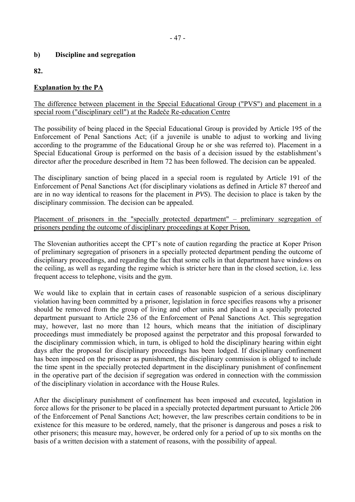# **b) Discipline and segregation**

**82.**

# **Explanation by the PA**

#### The difference between placement in the Special Educational Group ("PVS") and placement in a special room ("disciplinary cell") at the Radeče Re-education Centre

The possibility of being placed in the Special Educational Group is provided by Article 195 of the Enforcement of Penal Sanctions Act; (if a juvenile is unable to adjust to working and living according to the programme of the Educational Group he or she was referred to). Placement in a Special Educational Group is performed on the basis of a decision issued by the establishment's director after the procedure described in Item 72 has been followed. The decision can be appealed.

The disciplinary sanction of being placed in a special room is regulated by Article 191 of the Enforcement of Penal Sanctions Act (for disciplinary violations as defined in Article 87 thereof and are in no way identical to reasons for the placement in *PVS*). The decision to place is taken by the disciplinary commission. The decision can be appealed.

Placement of prisoners in the "specially protected department"  $-$  preliminary segregation of prisoners pending the outcome of disciplinary proceedings at Koper Prison.

The Slovenian authorities accept the CPT's note of caution regarding the practice at Koper Prison of preliminary segregation of prisoners in a specially protected department pending the outcome of disciplinary proceedings, and regarding the fact that some cells in that department have windows on the ceiling, as well as regarding the regime which is stricter here than in the closed section, i.e. less frequent access to telephone, visits and the gym.

We would like to explain that in certain cases of reasonable suspicion of a serious disciplinary violation having been committed by a prisoner, legislation in force specifies reasons why a prisoner should be removed from the group of living and other units and placed in a specially protected department pursuant to Article 236 of the Enforcement of Penal Sanctions Act. This segregation may, however, last no more than 12 hours, which means that the initiation of disciplinary proceedings must immediately be proposed against the perpetrator and this proposal forwarded to the disciplinary commission which, in turn, is obliged to hold the disciplinary hearing within eight days after the proposal for disciplinary proceedings has been lodged. If disciplinary confinement has been imposed on the prisoner as punishment, the disciplinary commission is obliged to include the time spent in the specially protected department in the disciplinary punishment of confinement in the operative part of the decision if segregation was ordered in connection with the commission of the disciplinary violation in accordance with the House Rules.

After the disciplinary punishment of confinement has been imposed and executed, legislation in force allows for the prisoner to be placed in a specially protected department pursuant to Article 206 of the Enforcement of Penal Sanctions Act; however, the law prescribes certain conditions to be in existence for this measure to be ordered, namely, that the prisoner is dangerous and poses a risk to other prisoners; this measure may, however, be ordered only for a period of up to six months on the basis of a written decision with a statement of reasons, with the possibility of appeal.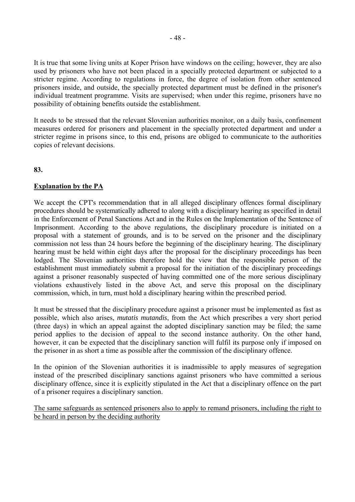It is true that some living units at Koper Prison have windows on the ceiling; however, they are also used by prisoners who have not been placed in a specially protected department or subjected to a stricter regime. According to regulations in force, the degree of isolation from other sentenced prisoners inside, and outside, the specially protected department must be defined in the prisoner's individual treatment programme. Visits are supervised; when under this regime, prisoners have no possibility of obtaining benefits outside the establishment.

It needs to be stressed that the relevant Slovenian authorities monitor, on a daily basis, confinement measures ordered for prisoners and placement in the specially protected department and under a stricter regime in prisons since, to this end, prisons are obliged to communicate to the authorities copies of relevant decisions.

## **83.**

#### **Explanation by the PA**

We accept the CPT's recommendation that in all alleged disciplinary offences formal disciplinary procedures should be systematically adhered to along with a disciplinary hearing as specified in detail in the Enforcement of Penal Sanctions Act and in the Rules on the Implementation of the Sentence of Imprisonment. According to the above regulations, the disciplinary procedure is initiated on a proposal with a statement of grounds, and is to be served on the prisoner and the disciplinary commission not less than 24 hours before the beginning of the disciplinary hearing. The disciplinary hearing must be held within eight days after the proposal for the disciplinary proceedings has been lodged. The Slovenian authorities therefore hold the view that the responsible person of the establishment must immediately submit a proposal for the initiation of the disciplinary proceedings against a prisoner reasonably suspected of having committed one of the more serious disciplinary violations exhaustively listed in the above Act, and serve this proposal on the disciplinary commission, which, in turn, must hold a disciplinary hearing within the prescribed period.

It must be stressed that the disciplinary procedure against a prisoner must be implemented as fast as possible, which also arises, *mutatis mutandis*, from the Act which prescribes a very short period (three days) in which an appeal against the adopted disciplinary sanction may be filed; the same period applies to the decision of appeal to the second instance authority. On the other hand, however, it can be expected that the disciplinary sanction will fulfil its purpose only if imposed on the prisoner in as short a time as possible after the commission of the disciplinary offence.

In the opinion of the Slovenian authorities it is inadmissible to apply measures of segregation instead of the prescribed disciplinary sanctions against prisoners who have committed a serious disciplinary offence, since it is explicitly stipulated in the Act that a disciplinary offence on the part of a prisoner requires a disciplinary sanction.

The same safeguards as sentenced prisoners also to apply to remand prisoners, including the right to be heard in person by the deciding authority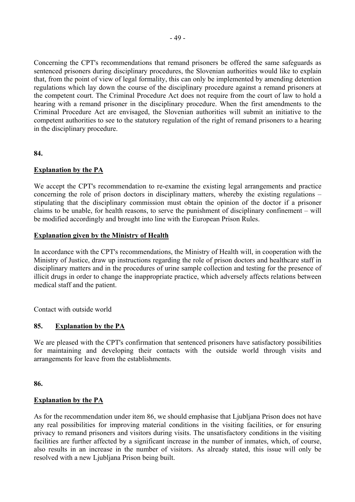Concerning the CPT's recommendations that remand prisoners be offered the same safeguards as sentenced prisoners during disciplinary procedures, the Slovenian authorities would like to explain that, from the point of view of legal formality, this can only be implemented by amending detention regulations which lay down the course of the disciplinary procedure against a remand prisoners at the competent court. The Criminal Procedure Act does not require from the court of law to hold a hearing with a remand prisoner in the disciplinary procedure. When the first amendments to the Criminal Procedure Act are envisaged, the Slovenian authorities will submit an initiative to the competent authorities to see to the statutory regulation of the right of remand prisoners to a hearing in the disciplinary procedure.

**84.**

## **Explanation by the PA**

We accept the CPT's recommendation to re-examine the existing legal arrangements and practice concerning the role of prison doctors in disciplinary matters, whereby the existing regulations  $$ stipulating that the disciplinary commission must obtain the opinion of the doctor if a prisoner claims to be unable, for health reasons, to serve the punishment of disciplinary confinement  $-\text{ will}$ be modified accordingly and brought into line with the European Prison Rules.

#### **Explanation given by the Ministry of Health**

In accordance with the CPT's recommendations, the Ministry of Health will, in cooperation with the Ministry of Justice, draw up instructions regarding the role of prison doctors and healthcare staff in disciplinary matters and in the procedures of urine sample collection and testing for the presence of illicit drugs in order to change the inappropriate practice, which adversely affects relations between medical staff and the patient.

Contact with outside world

## **85. Explanation by the PA**

We are pleased with the CPT's confirmation that sentenced prisoners have satisfactory possibilities for maintaining and developing their contacts with the outside world through visits and arrangements for leave from the establishments.

**86.**

#### **Explanation by the PA**

As for the recommendation under item 86, we should emphasise that Ljubljana Prison does not have any real possibilities for improving material conditions in the visiting facilities, or for ensuring privacy to remand prisoners and visitors during visits. The unsatisfactory conditions in the visiting facilities are further affected by a significant increase in the number of inmates, which, of course, also results in an increase in the number of visitors. As already stated, this issue will only be resolved with a new Ljubljana Prison being built.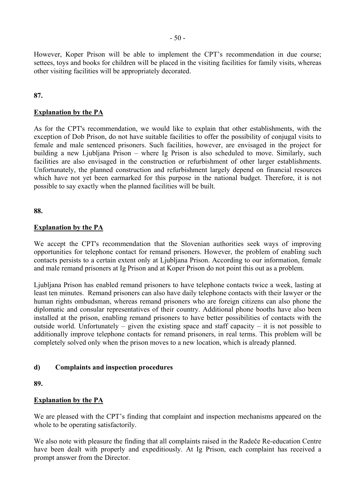However, Koper Prison will be able to implement the CPT's recommendation in due course; settees, toys and books for children will be placed in the visiting facilities for family visits, whereas other visiting facilities will be appropriately decorated.

#### **87.**

#### **Explanation by the PA**

As for the CPT's recommendation, we would like to explain that other establishments, with the exception of Dob Prison, do not have suitable facilities to offer the possibility of conjugal visits to female and male sentenced prisoners. Such facilities, however, are envisaged in the project for building a new Ljubljana Prison – where Ig Prison is also scheduled to move. Similarly, such facilities are also envisaged in the construction or refurbishment of other larger establishments. Unfortunately, the planned construction and refurbishment largely depend on financial resources which have not yet been earmarked for this purpose in the national budget. Therefore, it is not possible to say exactly when the planned facilities will be built.

**88.**

#### **Explanation by the PA**

We accept the CPT's recommendation that the Slovenian authorities seek ways of improving opportunities for telephone contact for remand prisoners. However, the problem of enabling such contacts persists to a certain extent only at Ljubljana Prison. According to our information, female and male remand prisoners at Ig Prison and at Koper Prison do not point this out as a problem.

Ljubljana Prison has enabled remand prisoners to have telephone contacts twice a week, lasting at least ten minutes. Remand prisoners can also have daily telephone contacts with their lawyer or the human rights ombudsman, whereas remand prisoners who are foreign citizens can also phone the diplomatic and consular representatives of their country. Additional phone booths have also been installed at the prison, enabling remand prisoners to have better possibilities of contacts with the outside world. Unfortunately – given the existing space and staff capacity – it is not possible to additionally improve telephone contacts for remand prisoners, in real terms. This problem will be completely solved only when the prison moves to a new location, which is already planned.

#### **d) Complaints and inspection procedures**

**89.** 

#### **Explanation by the PA**

We are pleased with the CPT's finding that complaint and inspection mechanisms appeared on the whole to be operating satisfactorily.

We also note with pleasure the finding that all complaints raised in the Radeče Re-education Centre have been dealt with properly and expeditiously. At Ig Prison, each complaint has received a prompt answer from the Director.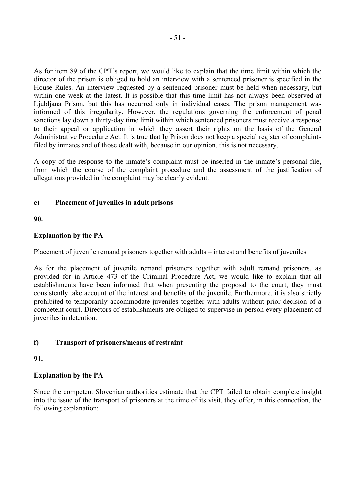As for item 89 of the CPT's report, we would like to explain that the time limit within which the director of the prison is obliged to hold an interview with a sentenced prisoner is specified in the House Rules. An interview requested by a sentenced prisoner must be held when necessary, but within one week at the latest. It is possible that this time limit has not always been observed at Ljubljana Prison, but this has occurred only in individual cases. The prison management was informed of this irregularity. However, the regulations governing the enforcement of penal sanctions lay down a thirty-day time limit within which sentenced prisoners must receive a response to their appeal or application in which they assert their rights on the basis of the General Administrative Procedure Act. It is true that Ig Prison does not keep a special register of complaints filed by inmates and of those dealt with, because in our opinion, this is not necessary.

A copy of the response to the inmate's complaint must be inserted in the inmate's personal file, from which the course of the complaint procedure and the assessment of the justification of allegations provided in the complaint may be clearly evident.

# **e) Placement of juveniles in adult prisons**

**90.**

# **Explanation by the PA**

# Placement of juvenile remand prisoners together with adults – interest and benefits of juveniles

As for the placement of juvenile remand prisoners together with adult remand prisoners, as provided for in Article 473 of the Criminal Procedure Act, we would like to explain that all establishments have been informed that when presenting the proposal to the court, they must consistently take account of the interest and benefits of the juvenile. Furthermore, it is also strictly prohibited to temporarily accommodate juveniles together with adults without prior decision of a competent court. Directors of establishments are obliged to supervise in person every placement of juveniles in detention.

# **f) Transport of prisoners/means of restraint**

**91.**

# **Explanation by the PA**

Since the competent Slovenian authorities estimate that the CPT failed to obtain complete insight into the issue of the transport of prisoners at the time of its visit, they offer, in this connection, the following explanation: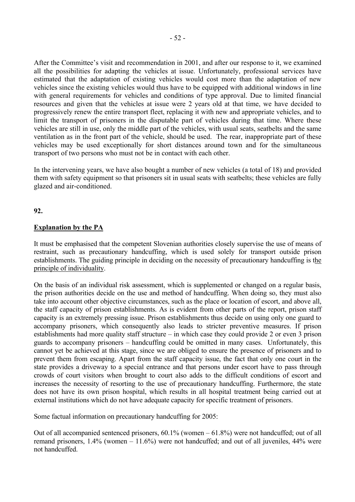After the Committee's visit and recommendation in 2001, and after our response to it, we examined all the possibilities for adapting the vehicles at issue. Unfortunately, professional services have estimated that the adaptation of existing vehicles would cost more than the adaptation of new vehicles since the existing vehicles would thus have to be equipped with additional windows in line with general requirements for vehicles and conditions of type approval. Due to limited financial resources and given that the vehicles at issue were 2 years old at that time, we have decided to progressively renew the entire transport fleet, replacing it with new and appropriate vehicles, and to limit the transport of prisoners in the disputable part of vehicles during that time. Where these vehicles are still in use, only the middle part of the vehicles, with usual seats, seatbelts and the same ventilation as in the front part of the vehicle, should be used. The rear, inappropriate part of these vehicles may be used exceptionally for short distances around town and for the simultaneous transport of two persons who must not be in contact with each other.

In the intervening years, we have also bought a number of new vehicles (a total of 18) and provided them with safety equipment so that prisoners sit in usual seats with seatbelts; these vehicles are fully glazed and air-conditioned.

#### **92.**

#### **Explanation by the PA**

It must be emphasised that the competent Slovenian authorities closely supervise the use of means of restraint, such as precautionary handcuffing, which is used solely for transport outside prison establishments. The guiding principle in deciding on the necessity of precautionary handcuffing is the principle of individuality.

On the basis of an individual risk assessment, which is supplemented or changed on a regular basis, the prison authorities decide on the use and method of handcuffing. When doing so, they must also take into account other objective circumstances, such as the place or location of escort, and above all, the staff capacity of prison establishments. As is evident from other parts of the report, prison staff capacity is an extremely pressing issue. Prison establishments thus decide on using only one guard to accompany prisoners, which consequently also leads to stricter preventive measures. If prison establishments had more quality staff structure  $-$  in which case they could provide 2 or even 3 prison guards to accompany prisoners – handcuffing could be omitted in many cases. Unfortunately, this cannot yet be achieved at this stage, since we are obliged to ensure the presence of prisoners and to prevent them from escaping. Apart from the staff capacity issue, the fact that only one court in the state provides a driveway to a special entrance and that persons under escort have to pass through crowds of court visitors when brought to court also adds to the difficult conditions of escort and increases the necessity of resorting to the use of precautionary handcuffing. Furthermore, the state does not have its own prison hospital, which results in all hospital treatment being carried out at external institutions which do not have adequate capacity for specific treatment of prisoners.

Some factual information on precautionary handcuffing for 2005:

Out of all accompanied sentenced prisoners,  $60.1\%$  (women  $-61.8\%$ ) were not handcuffed; out of all remand prisoners,  $1.4\%$  (women  $-11.6\%$ ) were not handcuffed; and out of all juveniles,  $44\%$  were not handcuffed.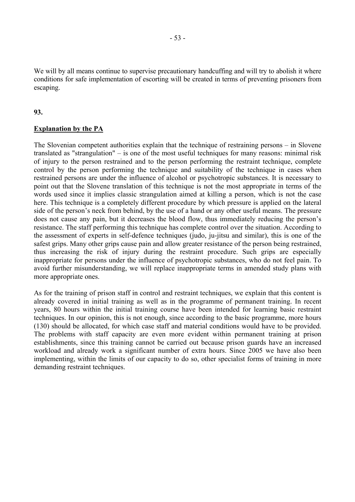We will by all means continue to supervise precautionary handcuffing and will try to abolish it where conditions for safe implementation of escorting will be created in terms of preventing prisoners from escaping.

#### **93.**

#### **Explanation by the PA**

The Slovenian competent authorities explain that the technique of restraining persons  $-$  in Slovene translated as "strangulation"  $-$  is one of the most useful techniques for many reasons: minimal risk of injury to the person restrained and to the person performing the restraint technique, complete control by the person performing the technique and suitability of the technique in cases when restrained persons are under the influence of alcohol or psychotropic substances. It is necessary to point out that the Slovene translation of this technique is not the most appropriate in terms of the words used since it implies classic strangulation aimed at killing a person, which is not the case here. This technique is a completely different procedure by which pressure is applied on the lateral side of the person's neck from behind, by the use of a hand or any other useful means. The pressure does not cause any pain, but it decreases the blood flow, thus immediately reducing the person's resistance. The staff performing this technique has complete control over the situation. According to the assessment of experts in self-defence techniques (judo, ju-jitsu and similar), this is one of the safest grips. Many other grips cause pain and allow greater resistance of the person being restrained, thus increasing the risk of injury during the restraint procedure. Such grips are especially inappropriate for persons under the influence of psychotropic substances, who do not feel pain. To avoid further misunderstanding, we will replace inappropriate terms in amended study plans with more appropriate ones.

As for the training of prison staff in control and restraint techniques, we explain that this content is already covered in initial training as well as in the programme of permanent training. In recent years, 80 hours within the initial training course have been intended for learning basic restraint techniques. In our opinion, this is not enough, since according to the basic programme, more hours (130) should be allocated, for which case staff and material conditions would have to be provided. The problems with staff capacity are even more evident within permanent training at prison establishments, since this training cannot be carried out because prison guards have an increased workload and already work a significant number of extra hours. Since 2005 we have also been implementing, within the limits of our capacity to do so, other specialist forms of training in more demanding restraint techniques.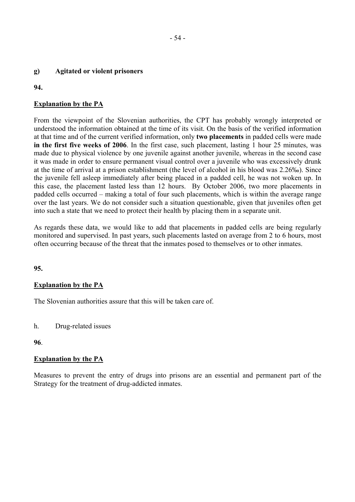#### **g) Agitated or violent prisoners**

#### **94.**

# **Explanation by the PA**

From the viewpoint of the Slovenian authorities, the CPT has probably wrongly interpreted or understood the information obtained at the time of its visit. On the basis of the verified information at that time and of the current verified information, only **two placements** in padded cells were made **in the first five weeks of 2006**. In the first case, such placement, lasting 1 hour 25 minutes, was made due to physical violence by one juvenile against another juvenile, whereas in the second case it was made in order to ensure permanent visual control over a juvenile who was excessively drunk at the time of arrival at a prison establishment (the level of alcohol in his blood was 2.26‰). Since the juvenile fell asleep immediately after being placed in a padded cell, he was not woken up. In this case, the placement lasted less than 12 hours. By October 2006, two more placements in padded cells occurred – making a total of four such placements, which is within the average range over the last years. We do not consider such a situation questionable, given that juveniles often get into such a state that we need to protect their health by placing them in a separate unit.

As regards these data, we would like to add that placements in padded cells are being regularly monitored and supervised. In past years, such placements lasted on average from 2 to 6 hours, most often occurring because of the threat that the inmates posed to themselves or to other inmates.

## **95.**

## **Explanation by the PA**

The Slovenian authorities assure that this will be taken care of.

h. Drug-related issues

#### **96**.

## **Explanation by the PA**

Measures to prevent the entry of drugs into prisons are an essential and permanent part of the Strategy for the treatment of drug-addicted inmates.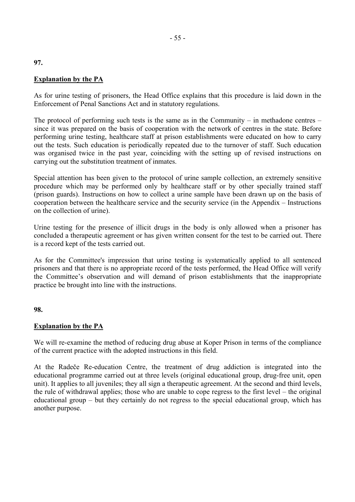#### **Explanation by the PA**

As for urine testing of prisoners, the Head Office explains that this procedure is laid down in the Enforcement of Penal Sanctions Act and in statutory regulations.

The protocol of performing such tests is the same as in the Community – in methadone centres – since it was prepared on the basis of cooperation with the network of centres in the state. Before performing urine testing, healthcare staff at prison establishments were educated on how to carry out the tests. Such education is periodically repeated due to the turnover of staff. Such education was organised twice in the past year, coinciding with the setting up of revised instructions on carrying out the substitution treatment of inmates.

Special attention has been given to the protocol of urine sample collection, an extremely sensitive procedure which may be performed only by healthcare staff or by other specially trained staff (prison guards). Instructions on how to collect a urine sample have been drawn up on the basis of cooperation between the healthcare service and the security service (in the Appendix  $-$  Instructions on the collection of urine).

Urine testing for the presence of illicit drugs in the body is only allowed when a prisoner has concluded a therapeutic agreement or has given written consent for the test to be carried out. There is a record kept of the tests carried out.

As for the Committee's impression that urine testing is systematically applied to all sentenced prisoners and that there is no appropriate record of the tests performed, the Head Office will verify the Committee's observation and will demand of prison establishments that the inappropriate practice be brought into line with the instructions.

#### **98.**

## **Explanation by the PA**

We will re-examine the method of reducing drug abuse at Koper Prison in terms of the compliance of the current practice with the adopted instructions in this field.

At the Radeče Re-education Centre, the treatment of drug addiction is integrated into the educational programme carried out at three levels (original educational group, drug-free unit, open unit). It applies to all juveniles; they all sign a therapeutic agreement. At the second and third levels, the rule of withdrawal applies; those who are unable to cope regress to the first level  $-$  the original educational group  $-$  but they certainly do not regress to the special educational group, which has another purpose.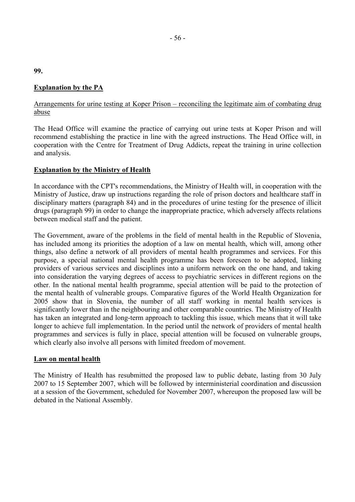# **Explanation by the PA**

## Arrangements for urine testing at Koper Prison – reconciling the legitimate aim of combating drug abuse

The Head Office will examine the practice of carrying out urine tests at Koper Prison and will recommend establishing the practice in line with the agreed instructions. The Head Office will, in cooperation with the Centre for Treatment of Drug Addicts, repeat the training in urine collection and analysis.

## **Explanation by the Ministry of Health**

In accordance with the CPT's recommendations, the Ministry of Health will, in cooperation with the Ministry of Justice, draw up instructions regarding the role of prison doctors and healthcare staff in disciplinary matters (paragraph 84) and in the procedures of urine testing for the presence of illicit drugs (paragraph 99) in order to change the inappropriate practice, which adversely affects relations between medical staff and the patient.

The Government, aware of the problems in the field of mental health in the Republic of Slovenia, has included among its priorities the adoption of a law on mental health, which will, among other things, also define a network of all providers of mental health programmes and services. For this purpose, a special national mental health programme has been foreseen to be adopted, linking providers of various services and disciplines into a uniform network on the one hand, and taking into consideration the varying degrees of access to psychiatric services in different regions on the other. In the national mental health programme, special attention will be paid to the protection of the mental health of vulnerable groups. Comparative figures of the World Health Organization for 2005 show that in Slovenia, the number of all staff working in mental health services is significantly lower than in the neighbouring and other comparable countries. The Ministry of Health has taken an integrated and long-term approach to tackling this issue, which means that it will take longer to achieve full implementation. In the period until the network of providers of mental health programmes and services is fully in place, special attention will be focused on vulnerable groups, which clearly also involve all persons with limited freedom of movement.

## **Law on mental health**

The Ministry of Health has resubmitted the proposed law to public debate, lasting from 30 July 2007 to 15 September 2007, which will be followed by interministerial coordination and discussion at a session of the Government, scheduled for November 2007, whereupon the proposed law will be debated in the National Assembly.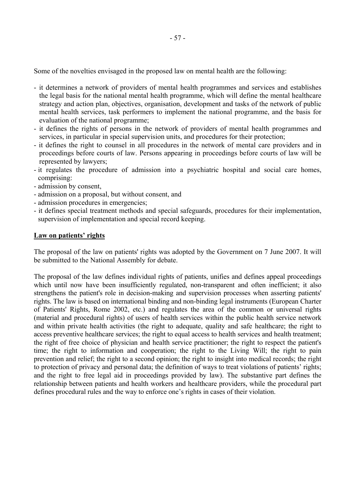Some of the novelties envisaged in the proposed law on mental health are the following:

- it determines a network of providers of mental health programmes and services and establishes the legal basis for the national mental health programme, which will define the mental healthcare strategy and action plan, objectives, organisation, development and tasks of the network of public mental health services, task performers to implement the national programme, and the basis for evaluation of the national programme;
- it defines the rights of persons in the network of providers of mental health programmes and services, in particular in special supervision units, and procedures for their protection;
- it defines the right to counsel in all procedures in the network of mental care providers and in proceedings before courts of law. Persons appearing in proceedings before courts of law will be represented by lawyers;
- it regulates the procedure of admission into a psychiatric hospital and social care homes, comprising:
- admission by consent,
- admission on a proposal, but without consent, and
- admission procedures in emergencies;
- it defines special treatment methods and special safeguards, procedures for their implementation, supervision of implementation and special record keeping.

#### Law on patients' rights

The proposal of the law on patients' rights was adopted by the Government on 7 June 2007. It will be submitted to the National Assembly for debate.

The proposal of the law defines individual rights of patients, unifies and defines appeal proceedings which until now have been insufficiently regulated, non-transparent and often inefficient; it also strengthens the patient's role in decision-making and supervision processes when asserting patients' rights. The law is based on international binding and non-binding legal instruments (European Charter of Patients' Rights, Rome 2002, etc.) and regulates the area of the common or universal rights (material and procedural rights) of users of health services within the public health service network and within private health activities (the right to adequate, quality and safe healthcare; the right to access preventive healthcare services; the right to equal access to health services and health treatment; the right of free choice of physician and health service practitioner; the right to respect the patient's time; the right to information and cooperation; the right to the Living Will; the right to pain prevention and relief; the right to a second opinion; the right to insight into medical records; the right to protection of privacy and personal data; the definition of ways to treat violations of patients' rights; and the right to free legal aid in proceedings provided by law). The substantive part defines the relationship between patients and health workers and healthcare providers, while the procedural part defines procedural rules and the way to enforce one's rights in cases of their violation.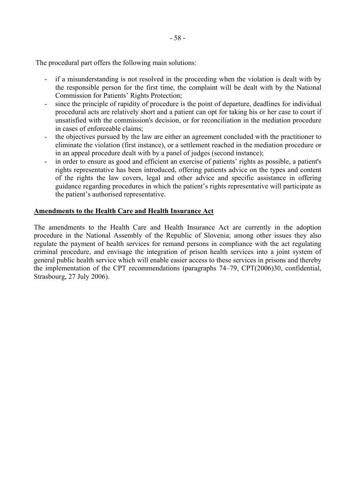The procedural part offers the following main solutions:

- if a misunderstanding is not resolved in the proceeding when the violation is dealt with by the responsible person for the first time, the complaint will be dealt with by the National Commission for Patients' Rights Protection;
- since the principle of rapidity of procedure is the point of departure, deadlines for individual procedural acts are relatively short and a patient can opt for taking his or her case to court if unsatisfied with the commission's decision, or for reconciliation in the mediation procedure in cases of enforceable claims;
- the objectives pursued by the law are either an agreement concluded with the practitioner to eliminate the violation (first instance), or a settlement reached in the mediation procedure or in an appeal procedure dealt with by a panel of judges (second instance);
- in order to ensure as good and efficient an exercise of patients' rights as possible, a patient's rights representative has been introduced, offering patients advice on the types and content of the rights the law covers, legal and other advice and specific assistance in offering guidance regarding procedures in which the patient's rights representative will participate as the patient's authorised representative.

## **Amendments to the Health Care and Health Insurance Act**

The amendments to the Health Care and Health Insurance Act are currently in the adoption procedure in the National Assembly of the Republic of Slovenia; among other issues they also regulate the payment of health services for remand persons in compliance with the act regulating criminal procedure, and envisage the integration of prison health services into a joint system of general public health service which will enable easier access to these services in prisons and thereby the implementation of the CPT recommendations (paragraphs  $74-79$ , CPT $(2006)30$ , confidential, Strasbourg, 27 July 2006).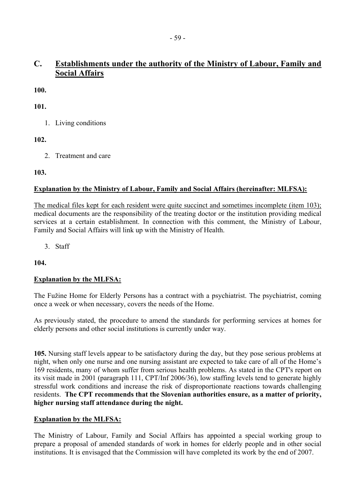# **C. Establishments under the authority of the Ministry of Labour, Family and Social Affairs**

**100.**

**101.**

1. Living conditions

**102.**

2. Treatment and care

**103.**

# **Explanation by the Ministry of Labour, Family and Social Affairs (hereinafter: MLFSA):**

The medical files kept for each resident were quite succinct and sometimes incomplete (item 103); medical documents are the responsibility of the treating doctor or the institution providing medical services at a certain establishment. In connection with this comment, the Ministry of Labour, Family and Social Affairs will link up with the Ministry of Health.

3. Staff

**104.**

# **Explanation by the MLFSA:**

The Fužine Home for Elderly Persons has a contract with a psychiatrist. The psychiatrist, coming once a week or when necessary, covers the needs of the Home.

As previously stated, the procedure to amend the standards for performing services at homes for elderly persons and other social institutions is currently under way.

**105.** Nursing staff levels appear to be satisfactory during the day, but they pose serious problems at night, when only one nurse and one nursing assistant are expected to take care of all of the Home's 169 residents, many of whom suffer from serious health problems. As stated in the CPT's report on its visit made in 2001 (paragraph 111, CPT/Inf 2006/36), low staffing levels tend to generate highly stressful work conditions and increase the risk of disproportionate reactions towards challenging residents. **The CPT recommends that the Slovenian authorities ensure, as a matter of priority, higher nursing staff attendance during the night.**

# **Explanation by the MLFSA:**

The Ministry of Labour, Family and Social Affairs has appointed a special working group to prepare a proposal of amended standards of work in homes for elderly people and in other social institutions. It is envisaged that the Commission will have completed its work by the end of 2007.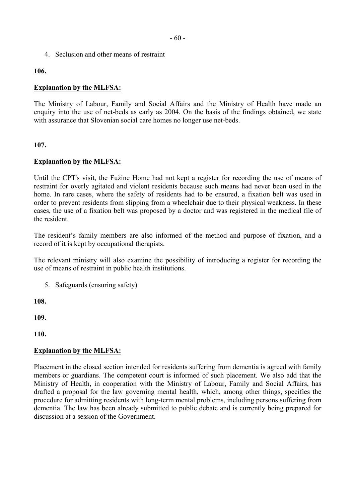4. Seclusion and other means of restraint

**106.**

#### **Explanation by the MLFSA:**

The Ministry of Labour, Family and Social Affairs and the Ministry of Health have made an enquiry into the use of net-beds as early as 2004. On the basis of the findings obtained, we state with assurance that Slovenian social care homes no longer use net-beds.

#### **107.**

#### **Explanation by the MLFSA:**

Until the CPT's visit, the Fužine Home had not kept a register for recording the use of means of restraint for overly agitated and violent residents because such means had never been used in the home. In rare cases, where the safety of residents had to be ensured, a fixation belt was used in order to prevent residents from slipping from a wheelchair due to their physical weakness. In these cases, the use of a fixation belt was proposed by a doctor and was registered in the medical file of the resident.

The resident's family members are also informed of the method and purpose of fixation, and a record of it is kept by occupational therapists.

The relevant ministry will also examine the possibility of introducing a register for recording the use of means of restraint in public health institutions.

5. Safeguards (ensuring safety)

**108.**

**109.**

**110.**

#### **Explanation by the MLFSA:**

Placement in the closed section intended for residents suffering from dementia is agreed with family members or guardians. The competent court is informed of such placement. We also add that the Ministry of Health, in cooperation with the Ministry of Labour, Family and Social Affairs, has drafted a proposal for the law governing mental health, which, among other things, specifies the procedure for admitting residents with long-term mental problems, including persons suffering from dementia. The law has been already submitted to public debate and is currently being prepared for discussion at a session of the Government.